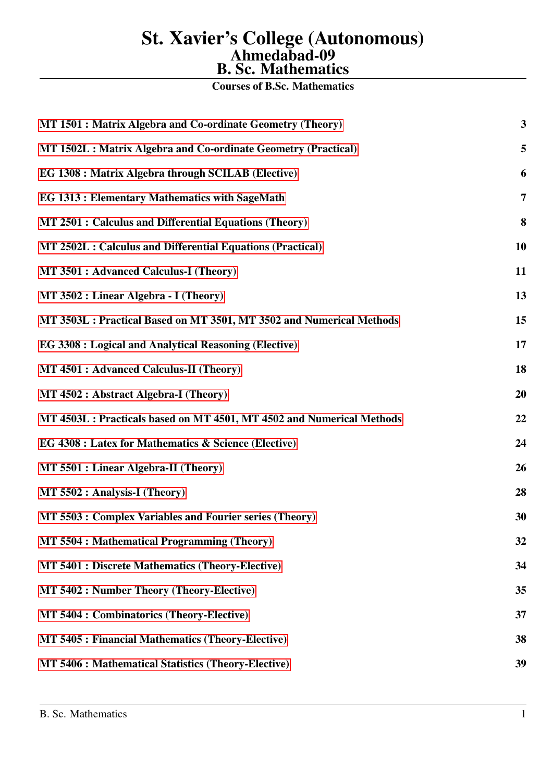Courses of B.Sc. Mathematics

| MT 1501 : Matrix Algebra and Co-ordinate Geometry (Theory)            | 3  |
|-----------------------------------------------------------------------|----|
| MT 1502L : Matrix Algebra and Co-ordinate Geometry (Practical)        | 5  |
| EG 1308 : Matrix Algebra through SCILAB (Elective)                    | 6  |
| <b>EG 1313: Elementary Mathematics with SageMath</b>                  | 7  |
| MT 2501 : Calculus and Differential Equations (Theory)                | 8  |
| MT 2502L : Calculus and Differential Equations (Practical)            | 10 |
| MT 3501 : Advanced Calculus-I (Theory)                                | 11 |
| MT 3502 : Linear Algebra - I (Theory)                                 | 13 |
| MT 3503L : Practical Based on MT 3501, MT 3502 and Numerical Methods  | 15 |
| <b>EG 3308 : Logical and Analytical Reasoning (Elective)</b>          | 17 |
| MT 4501 : Advanced Calculus-II (Theory)                               | 18 |
| MT 4502 : Abstract Algebra-I (Theory)                                 | 20 |
| MT 4503L : Practicals based on MT 4501, MT 4502 and Numerical Methods | 22 |
| EG 4308 : Latex for Mathematics & Science (Elective)                  | 24 |
| MT 5501 : Linear Algebra-II (Theory)                                  | 26 |
| MT 5502 : Analysis-I (Theory)                                         | 28 |
| MT 5503 : Complex Variables and Fourier series (Theory)               | 30 |
| MT 5504 : Mathematical Programming (Theory)                           | 32 |
| <b>MT 5401 : Discrete Mathematics (Theory-Elective)</b>               | 34 |
| <b>MT 5402 : Number Theory (Theory-Elective)</b>                      | 35 |
| <b>MT 5404 : Combinatorics (Theory-Elective)</b>                      | 37 |
| <b>MT 5405: Financial Mathematics (Theory-Elective)</b>               | 38 |
| MT 5406 : Mathematical Statistics (Theory-Elective)                   | 39 |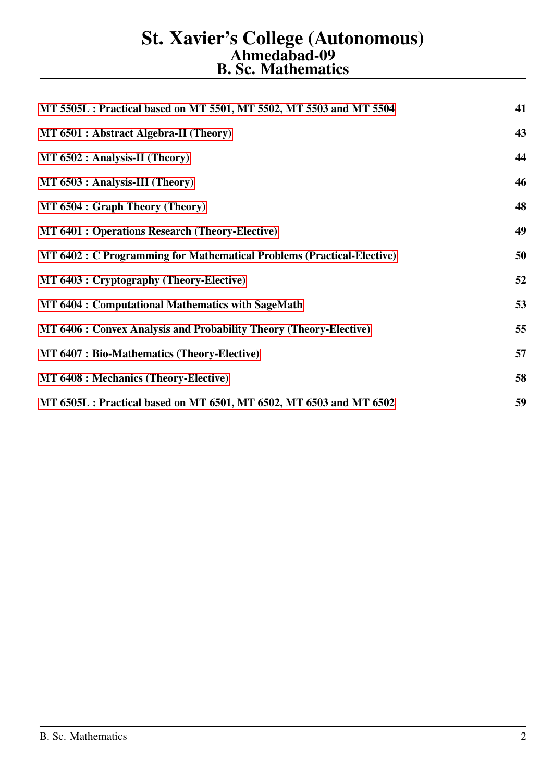| MT 5505L : Practical based on MT 5501, MT 5502, MT 5503 and MT 5504    | 41 |
|------------------------------------------------------------------------|----|
| MT 6501 : Abstract Algebra-II (Theory)                                 | 43 |
| MT 6502 : Analysis-II (Theory)                                         | 44 |
| MT 6503 : Analysis-III (Theory)                                        | 46 |
| MT 6504 : Graph Theory (Theory)                                        | 48 |
| <b>MT 6401 : Operations Research (Theory-Elective)</b>                 | 49 |
| MT 6402 : C Programming for Mathematical Problems (Practical-Elective) | 50 |
| MT 6403 : Cryptography (Theory-Elective)                               | 52 |
| <b>MT 6404 : Computational Mathematics with SageMath</b>               | 53 |
| MT 6406 : Convex Analysis and Probability Theory (Theory-Elective)     | 55 |
| <b>MT 6407: Bio-Mathematics (Theory-Elective)</b>                      | 57 |
| <b>MT 6408 : Mechanics (Theory-Elective)</b>                           | 58 |
| MT 6505L : Practical based on MT 6501, MT 6502, MT 6503 and MT 6502    | 59 |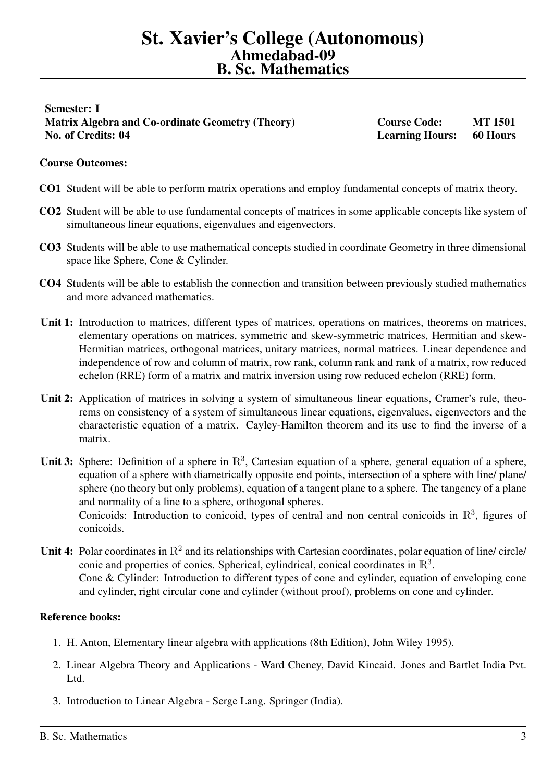# <span id="page-2-0"></span>Semester: I Matrix Algebra and Co-ordinate Geometry (Theory) Course Code: MT 1501 No. of Credits: 04 Learning Hours: 60 Hours

# Course Outcomes:

- CO1 Student will be able to perform matrix operations and employ fundamental concepts of matrix theory.
- CO2 Student will be able to use fundamental concepts of matrices in some applicable concepts like system of simultaneous linear equations, eigenvalues and eigenvectors.
- CO3 Students will be able to use mathematical concepts studied in coordinate Geometry in three dimensional space like Sphere, Cone & Cylinder.
- CO4 Students will be able to establish the connection and transition between previously studied mathematics and more advanced mathematics.
- Unit 1: Introduction to matrices, different types of matrices, operations on matrices, theorems on matrices, elementary operations on matrices, symmetric and skew-symmetric matrices, Hermitian and skew-Hermitian matrices, orthogonal matrices, unitary matrices, normal matrices. Linear dependence and independence of row and column of matrix, row rank, column rank and rank of a matrix, row reduced echelon (RRE) form of a matrix and matrix inversion using row reduced echelon (RRE) form.
- Unit 2: Application of matrices in solving a system of simultaneous linear equations, Cramer's rule, theorems on consistency of a system of simultaneous linear equations, eigenvalues, eigenvectors and the characteristic equation of a matrix. Cayley-Hamilton theorem and its use to find the inverse of a matrix.
- Unit 3: Sphere: Definition of a sphere in  $\mathbb{R}^3$ , Cartesian equation of a sphere, general equation of a sphere, equation of a sphere with diametrically opposite end points, intersection of a sphere with line/ plane/ sphere (no theory but only problems), equation of a tangent plane to a sphere. The tangency of a plane and normality of a line to a sphere, orthogonal spheres. Conicoids: Introduction to conicoid, types of central and non central conicoids in  $\mathbb{R}^3$ , figures of conicoids.
- Unit 4: Polar coordinates in  $\mathbb{R}^2$  and its relationships with Cartesian coordinates, polar equation of line/ circle/ conic and properties of conics. Spherical, cylindrical, conical coordinates in  $\mathbb{R}^3$ . Cone & Cylinder: Introduction to different types of cone and cylinder, equation of enveloping cone and cylinder, right circular cone and cylinder (without proof), problems on cone and cylinder.

- 1. H. Anton, Elementary linear algebra with applications (8th Edition), John Wiley 1995).
- 2. Linear Algebra Theory and Applications Ward Cheney, David Kincaid. Jones and Bartlet India Pvt. Ltd.
- 3. Introduction to Linear Algebra Serge Lang. Springer (India).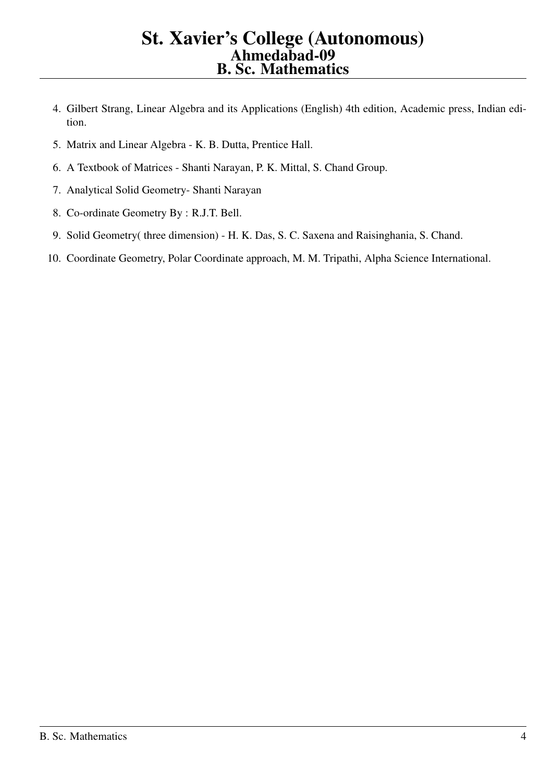- 4. Gilbert Strang, Linear Algebra and its Applications (English) 4th edition, Academic press, Indian edition.
- 5. Matrix and Linear Algebra K. B. Dutta, Prentice Hall.
- 6. A Textbook of Matrices Shanti Narayan, P. K. Mittal, S. Chand Group.
- 7. Analytical Solid Geometry- Shanti Narayan
- 8. Co-ordinate Geometry By : R.J.T. Bell.
- 9. Solid Geometry( three dimension) H. K. Das, S. C. Saxena and Raisinghania, S. Chand.
- 10. Coordinate Geometry, Polar Coordinate approach, M. M. Tripathi, Alpha Science International.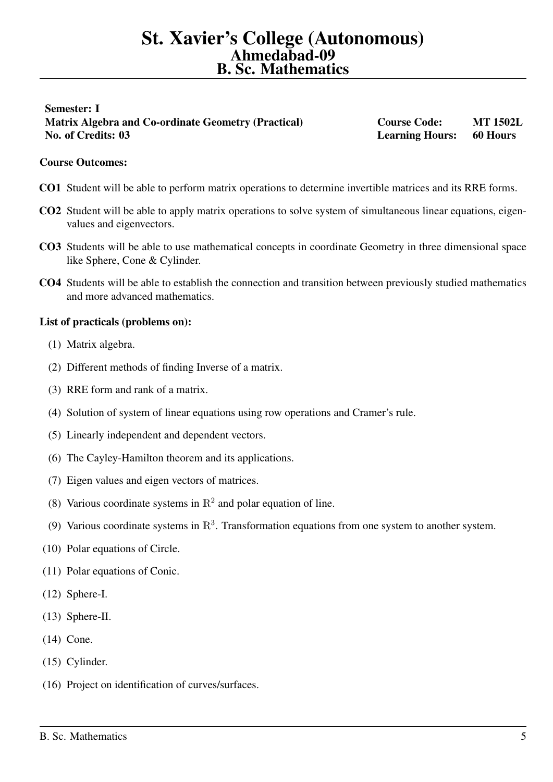# <span id="page-4-0"></span>Semester: I Matrix Algebra and Co-ordinate Geometry (Practical) Course Code: MT 1502L No. of Credits: 03 Learning Hours: 60 Hours

# Course Outcomes:

- CO1 Student will be able to perform matrix operations to determine invertible matrices and its RRE forms.
- CO2 Student will be able to apply matrix operations to solve system of simultaneous linear equations, eigenvalues and eigenvectors.
- CO3 Students will be able to use mathematical concepts in coordinate Geometry in three dimensional space like Sphere, Cone & Cylinder.
- CO4 Students will be able to establish the connection and transition between previously studied mathematics and more advanced mathematics.

#### List of practicals (problems on):

- (1) Matrix algebra.
- (2) Different methods of finding Inverse of a matrix.
- (3) RRE form and rank of a matrix.
- (4) Solution of system of linear equations using row operations and Cramer's rule.
- (5) Linearly independent and dependent vectors.
- (6) The Cayley-Hamilton theorem and its applications.
- (7) Eigen values and eigen vectors of matrices.
- (8) Various coordinate systems in  $\mathbb{R}^2$  and polar equation of line.
- (9) Various coordinate systems in  $\mathbb{R}^3$ . Transformation equations from one system to another system.
- (10) Polar equations of Circle.
- (11) Polar equations of Conic.
- (12) Sphere-I.
- (13) Sphere-II.
- (14) Cone.
- (15) Cylinder.
- (16) Project on identification of curves/surfaces.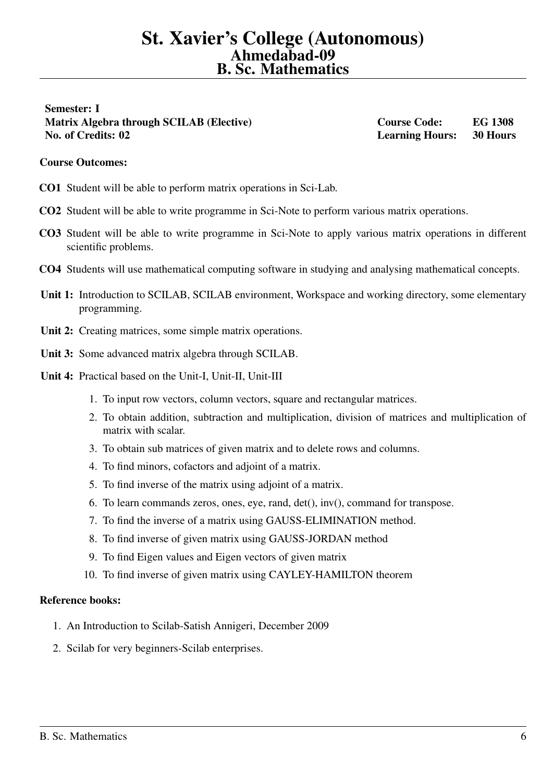<span id="page-5-0"></span>Semester: I Matrix Algebra through SCILAB (Elective) Course Code: EG 1308 No. of Credits: 02 Learning Hours: 30 Hours

#### Course Outcomes:

- CO1 Student will be able to perform matrix operations in Sci-Lab.
- CO2 Student will be able to write programme in Sci-Note to perform various matrix operations.
- CO3 Student will be able to write programme in Sci-Note to apply various matrix operations in different scientific problems.
- CO4 Students will use mathematical computing software in studying and analysing mathematical concepts.
- Unit 1: Introduction to SCILAB, SCILAB environment, Workspace and working directory, some elementary programming.
- Unit 2: Creating matrices, some simple matrix operations.
- Unit 3: Some advanced matrix algebra through SCILAB.
- Unit 4: Practical based on the Unit-I, Unit-II, Unit-III
	- 1. To input row vectors, column vectors, square and rectangular matrices.
	- 2. To obtain addition, subtraction and multiplication, division of matrices and multiplication of matrix with scalar.
	- 3. To obtain sub matrices of given matrix and to delete rows and columns.
	- 4. To find minors, cofactors and adjoint of a matrix.
	- 5. To find inverse of the matrix using adjoint of a matrix.
	- 6. To learn commands zeros, ones, eye, rand, det(), inv(), command for transpose.
	- 7. To find the inverse of a matrix using GAUSS-ELIMINATION method.
	- 8. To find inverse of given matrix using GAUSS-JORDAN method
	- 9. To find Eigen values and Eigen vectors of given matrix
	- 10. To find inverse of given matrix using CAYLEY-HAMILTON theorem

- 1. An Introduction to Scilab-Satish Annigeri, December 2009
- 2. Scilab for very beginners-Scilab enterprises.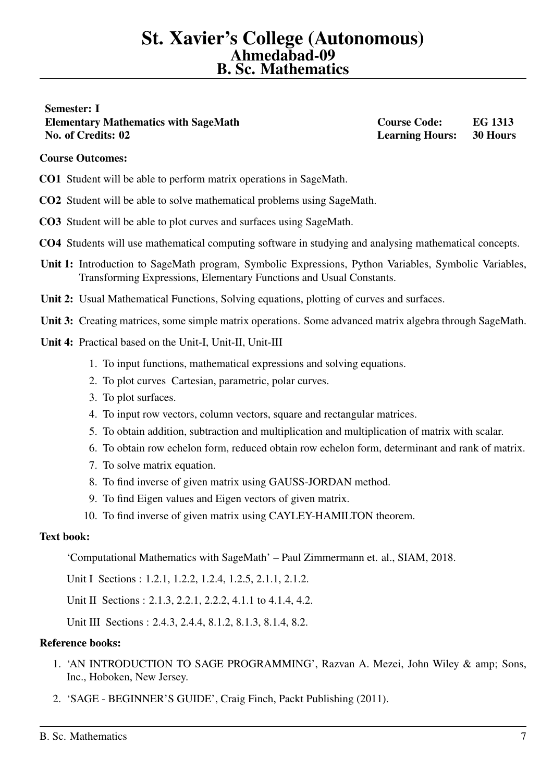# <span id="page-6-0"></span>Semester: I Elementary Mathematics with SageMath Course Code: EG 1313 No. of Credits: 02 Learning Hours: 30 Hours

# Course Outcomes:

- CO1 Student will be able to perform matrix operations in SageMath.
- CO2 Student will be able to solve mathematical problems using SageMath.
- CO3 Student will be able to plot curves and surfaces using SageMath.
- CO4 Students will use mathematical computing software in studying and analysing mathematical concepts.
- Unit 1: Introduction to SageMath program, Symbolic Expressions, Python Variables, Symbolic Variables, Transforming Expressions, Elementary Functions and Usual Constants.
- Unit 2: Usual Mathematical Functions, Solving equations, plotting of curves and surfaces.
- Unit 3: Creating matrices, some simple matrix operations. Some advanced matrix algebra through SageMath.
- Unit 4: Practical based on the Unit-I, Unit-II, Unit-III
	- 1. To input functions, mathematical expressions and solving equations.
	- 2. To plot curves Cartesian, parametric, polar curves.
	- 3. To plot surfaces.
	- 4. To input row vectors, column vectors, square and rectangular matrices.
	- 5. To obtain addition, subtraction and multiplication and multiplication of matrix with scalar.
	- 6. To obtain row echelon form, reduced obtain row echelon form, determinant and rank of matrix.
	- 7. To solve matrix equation.
	- 8. To find inverse of given matrix using GAUSS-JORDAN method.
	- 9. To find Eigen values and Eigen vectors of given matrix.
	- 10. To find inverse of given matrix using CAYLEY-HAMILTON theorem.

#### Text book:

'Computational Mathematics with SageMath' – Paul Zimmermann et. al., SIAM, 2018.

Unit I Sections : 1.2.1, 1.2.2, 1.2.4, 1.2.5, 2.1.1, 2.1.2.

Unit II Sections : 2.1.3, 2.2.1, 2.2.2, 4.1.1 to 4.1.4, 4.2.

Unit III Sections : 2.4.3, 2.4.4, 8.1.2, 8.1.3, 8.1.4, 8.2.

- 1. 'AN INTRODUCTION TO SAGE PROGRAMMING', Razvan A. Mezei, John Wiley & amp; Sons, Inc., Hoboken, New Jersey.
- 2. 'SAGE BEGINNER'S GUIDE', Craig Finch, Packt Publishing (2011).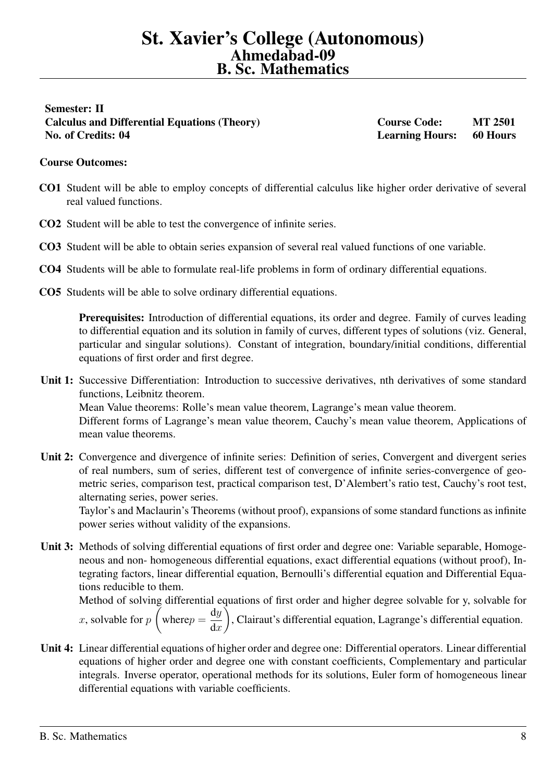# <span id="page-7-0"></span>Semester: II Calculus and Differential Equations (Theory) Course Code: MT 2501 No. of Credits: 04 Learning Hours: 60 Hours

# Course Outcomes:

- CO1 Student will be able to employ concepts of differential calculus like higher order derivative of several real valued functions.
- CO2 Student will be able to test the convergence of infinite series.
- CO3 Student will be able to obtain series expansion of several real valued functions of one variable.
- CO4 Students will be able to formulate real-life problems in form of ordinary differential equations.
- CO5 Students will be able to solve ordinary differential equations.

Prerequisites: Introduction of differential equations, its order and degree. Family of curves leading to differential equation and its solution in family of curves, different types of solutions (viz. General, particular and singular solutions). Constant of integration, boundary/initial conditions, differential equations of first order and first degree.

- Unit 1: Successive Differentiation: Introduction to successive derivatives, nth derivatives of some standard functions, Leibnitz theorem. Mean Value theorems: Rolle's mean value theorem, Lagrange's mean value theorem. Different forms of Lagrange's mean value theorem, Cauchy's mean value theorem, Applications of mean value theorems.
- Unit 2: Convergence and divergence of infinite series: Definition of series, Convergent and divergent series of real numbers, sum of series, different test of convergence of infinite series-convergence of geometric series, comparison test, practical comparison test, D'Alembert's ratio test, Cauchy's root test, alternating series, power series.

Taylor's and Maclaurin's Theorems (without proof), expansions of some standard functions as infinite power series without validity of the expansions.

Unit 3: Methods of solving differential equations of first order and degree one: Variable separable, Homogeneous and non- homogeneous differential equations, exact differential equations (without proof), Integrating factors, linear differential equation, Bernoulli's differential equation and Differential Equations reducible to them.

Method of solving differential equations of first order and higher degree solvable for y, solvable for  $x$ , solvable for  $p$  $\sqrt{ }$ where  $p =$ dy  $dx$  $\setminus$ , Clairaut's differential equation, Lagrange's differential equation.

Unit 4: Linear differential equations of higher order and degree one: Differential operators. Linear differential equations of higher order and degree one with constant coefficients, Complementary and particular integrals. Inverse operator, operational methods for its solutions, Euler form of homogeneous linear differential equations with variable coefficients.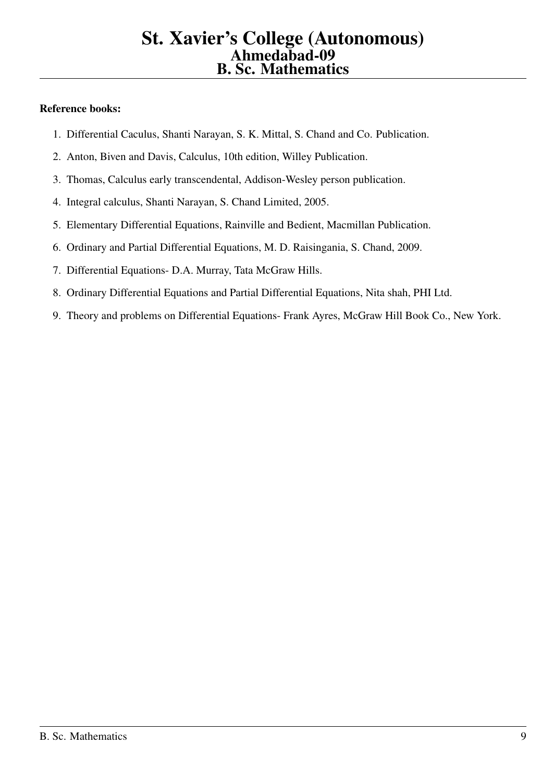- 1. Differential Caculus, Shanti Narayan, S. K. Mittal, S. Chand and Co. Publication.
- 2. Anton, Biven and Davis, Calculus, 10th edition, Willey Publication.
- 3. Thomas, Calculus early transcendental, Addison-Wesley person publication.
- 4. Integral calculus, Shanti Narayan, S. Chand Limited, 2005.
- 5. Elementary Differential Equations, Rainville and Bedient, Macmillan Publication.
- 6. Ordinary and Partial Differential Equations, M. D. Raisingania, S. Chand, 2009.
- 7. Differential Equations- D.A. Murray, Tata McGraw Hills.
- 8. Ordinary Differential Equations and Partial Differential Equations, Nita shah, PHI Ltd.
- 9. Theory and problems on Differential Equations- Frank Ayres, McGraw Hill Book Co., New York.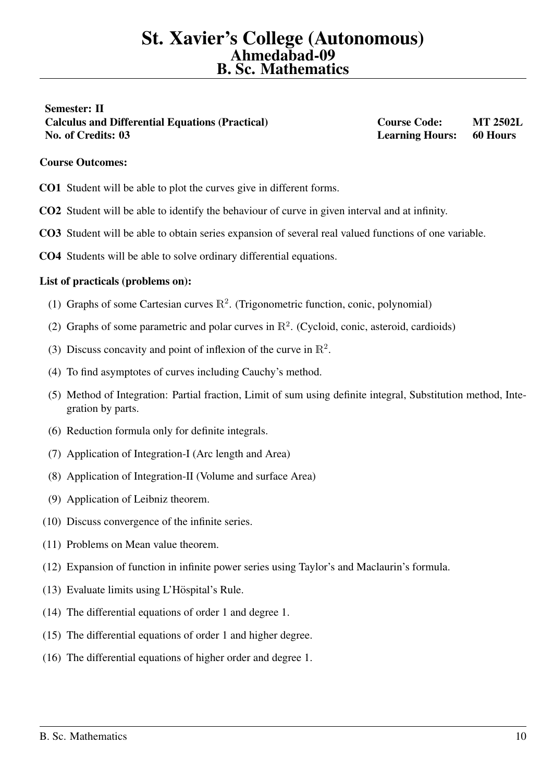# <span id="page-9-0"></span>Semester: II Calculus and Differential Equations (Practical) Course Code: MT 2502L No. of Credits: 03 Learning Hours: 60 Hours

## Course Outcomes:

- CO1 Student will be able to plot the curves give in different forms.
- CO2 Student will be able to identify the behaviour of curve in given interval and at infinity.
- CO3 Student will be able to obtain series expansion of several real valued functions of one variable.
- CO4 Students will be able to solve ordinary differential equations.

#### List of practicals (problems on):

- (1) Graphs of some Cartesian curves  $\mathbb{R}^2$ . (Trigonometric function, conic, polynomial)
- (2) Graphs of some parametric and polar curves in  $\mathbb{R}^2$ . (Cycloid, conic, asteroid, cardioids)
- (3) Discuss concavity and point of inflexion of the curve in  $\mathbb{R}^2$ .
- (4) To find asymptotes of curves including Cauchy's method.
- (5) Method of Integration: Partial fraction, Limit of sum using definite integral, Substitution method, Integration by parts.
- (6) Reduction formula only for definite integrals.
- (7) Application of Integration-I (Arc length and Area)
- (8) Application of Integration-II (Volume and surface Area)
- (9) Application of Leibniz theorem.
- (10) Discuss convergence of the infinite series.
- (11) Problems on Mean value theorem.
- (12) Expansion of function in infinite power series using Taylor's and Maclaurin's formula.
- $(13)$  Evaluate limits using L'Höspital's Rule.
- (14) The differential equations of order 1 and degree 1.
- (15) The differential equations of order 1 and higher degree.
- (16) The differential equations of higher order and degree 1.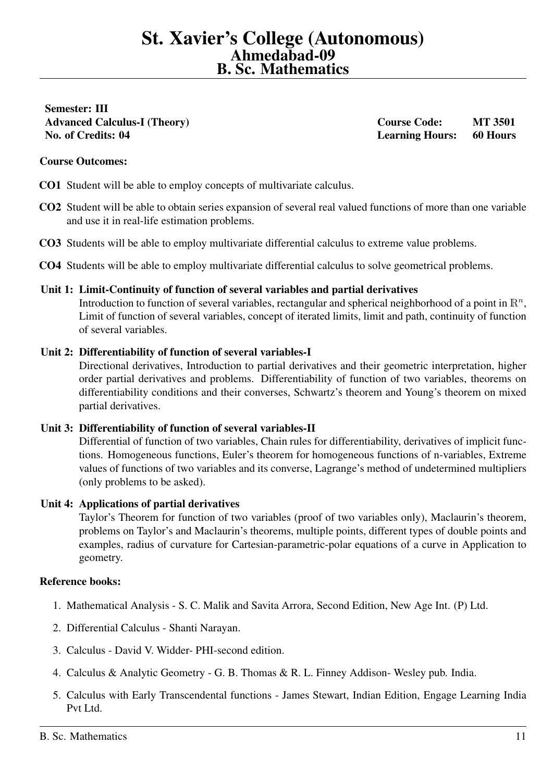<span id="page-10-0"></span>Semester: III Advanced Calculus-I (Theory) Course Code: MT 3501 No. of Credits: 04 Learning Hours: 60 Hours

## Course Outcomes:

CO1 Student will be able to employ concepts of multivariate calculus.

- CO2 Student will be able to obtain series expansion of several real valued functions of more than one variable and use it in real-life estimation problems.
- CO3 Students will be able to employ multivariate differential calculus to extreme value problems.
- CO4 Students will be able to employ multivariate differential calculus to solve geometrical problems.

#### Unit 1: Limit-Continuity of function of several variables and partial derivatives

Introduction to function of several variables, rectangular and spherical neighborhood of a point in  $\mathbb{R}^n$ , Limit of function of several variables, concept of iterated limits, limit and path, continuity of function of several variables.

#### Unit 2: Differentiability of function of several variables-I

Directional derivatives, Introduction to partial derivatives and their geometric interpretation, higher order partial derivatives and problems. Differentiability of function of two variables, theorems on differentiability conditions and their converses, Schwartz's theorem and Young's theorem on mixed partial derivatives.

#### Unit 3: Differentiability of function of several variables-II

Differential of function of two variables, Chain rules for differentiability, derivatives of implicit functions. Homogeneous functions, Euler's theorem for homogeneous functions of n-variables, Extreme values of functions of two variables and its converse, Lagrange's method of undetermined multipliers (only problems to be asked).

#### Unit 4: Applications of partial derivatives

Taylor's Theorem for function of two variables (proof of two variables only), Maclaurin's theorem, problems on Taylor's and Maclaurin's theorems, multiple points, different types of double points and examples, radius of curvature for Cartesian-parametric-polar equations of a curve in Application to geometry.

- 1. Mathematical Analysis S. C. Malik and Savita Arrora, Second Edition, New Age Int. (P) Ltd.
- 2. Differential Calculus Shanti Narayan.
- 3. Calculus David V. Widder- PHI-second edition.
- 4. Calculus & Analytic Geometry G. B. Thomas & R. L. Finney Addison- Wesley pub. India.
- 5. Calculus with Early Transcendental functions James Stewart, Indian Edition, Engage Learning India Pvt Ltd.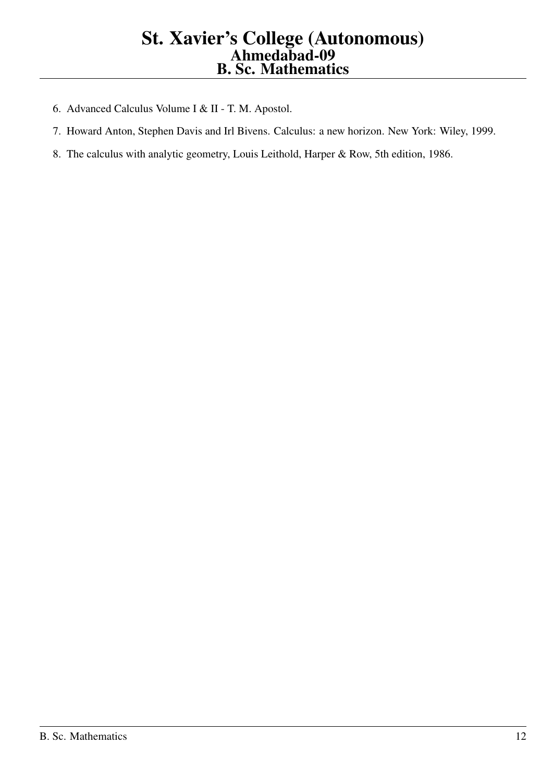- 6. Advanced Calculus Volume I & II T. M. Apostol.
- 7. Howard Anton, Stephen Davis and Irl Bivens. Calculus: a new horizon. New York: Wiley, 1999.
- 8. The calculus with analytic geometry, Louis Leithold, Harper & Row, 5th edition, 1986.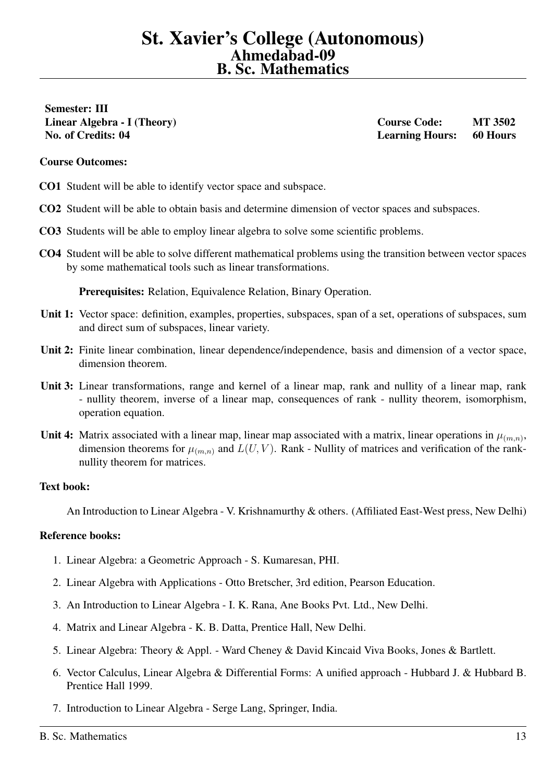<span id="page-12-0"></span>Semester: III

Linear Algebra - I (Theory) Course Code: MT 3502 No. of Credits: 04 Learning Hours: 60 Hours

#### Course Outcomes:

CO1 Student will be able to identify vector space and subspace.

- CO2 Student will be able to obtain basis and determine dimension of vector spaces and subspaces.
- CO3 Students will be able to employ linear algebra to solve some scientific problems.
- CO4 Student will be able to solve different mathematical problems using the transition between vector spaces by some mathematical tools such as linear transformations.

Prerequisites: Relation, Equivalence Relation, Binary Operation.

- Unit 1: Vector space: definition, examples, properties, subspaces, span of a set, operations of subspaces, sum and direct sum of subspaces, linear variety.
- Unit 2: Finite linear combination, linear dependence/independence, basis and dimension of a vector space, dimension theorem.
- Unit 3: Linear transformations, range and kernel of a linear map, rank and nullity of a linear map, rank - nullity theorem, inverse of a linear map, consequences of rank - nullity theorem, isomorphism, operation equation.
- Unit 4: Matrix associated with a linear map, linear map associated with a matrix, linear operations in  $\mu_{(m,n)}$ , dimension theorems for  $\mu_{(m,n)}$  and  $L(U, V)$ . Rank - Nullity of matrices and verification of the ranknullity theorem for matrices.

#### Text book:

An Introduction to Linear Algebra - V. Krishnamurthy & others. (Affiliated East-West press, New Delhi)

- 1. Linear Algebra: a Geometric Approach S. Kumaresan, PHI.
- 2. Linear Algebra with Applications Otto Bretscher, 3rd edition, Pearson Education.
- 3. An Introduction to Linear Algebra I. K. Rana, Ane Books Pvt. Ltd., New Delhi.
- 4. Matrix and Linear Algebra K. B. Datta, Prentice Hall, New Delhi.
- 5. Linear Algebra: Theory & Appl. Ward Cheney & David Kincaid Viva Books, Jones & Bartlett.
- 6. Vector Calculus, Linear Algebra & Differential Forms: A unified approach Hubbard J. & Hubbard B. Prentice Hall 1999.
- 7. Introduction to Linear Algebra Serge Lang, Springer, India.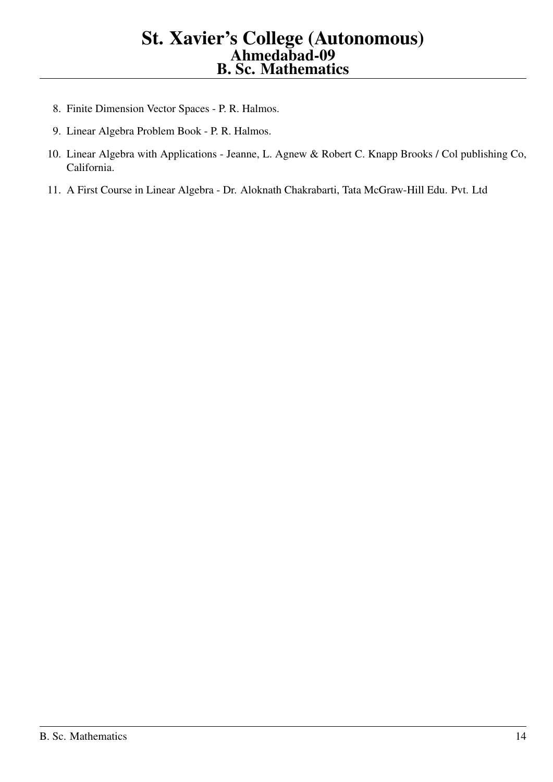- 8. Finite Dimension Vector Spaces P. R. Halmos.
- 9. Linear Algebra Problem Book P. R. Halmos.
- 10. Linear Algebra with Applications Jeanne, L. Agnew & Robert C. Knapp Brooks / Col publishing Co, California.
- 11. A First Course in Linear Algebra Dr. Aloknath Chakrabarti, Tata McGraw-Hill Edu. Pvt. Ltd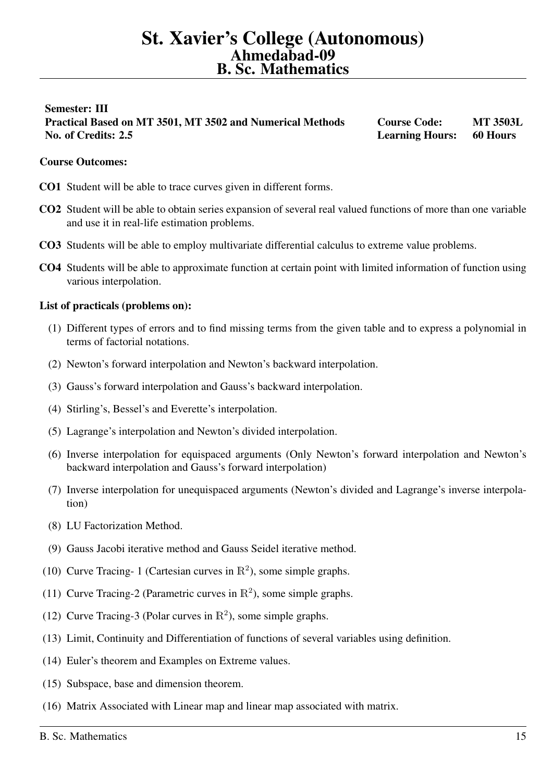# <span id="page-14-0"></span>Semester: III Practical Based on MT 3501, MT 3502 and Numerical Methods Course Code: MT 3503L No. of Credits: 2.5 Learning Hours: 60 Hours

## Course Outcomes:

- CO1 Student will be able to trace curves given in different forms.
- CO2 Student will be able to obtain series expansion of several real valued functions of more than one variable and use it in real-life estimation problems.
- CO3 Students will be able to employ multivariate differential calculus to extreme value problems.
- CO4 Students will be able to approximate function at certain point with limited information of function using various interpolation.

#### List of practicals (problems on):

- (1) Different types of errors and to find missing terms from the given table and to express a polynomial in terms of factorial notations.
- (2) Newton's forward interpolation and Newton's backward interpolation.
- (3) Gauss's forward interpolation and Gauss's backward interpolation.
- (4) Stirling's, Bessel's and Everette's interpolation.
- (5) Lagrange's interpolation and Newton's divided interpolation.
- (6) Inverse interpolation for equispaced arguments (Only Newton's forward interpolation and Newton's backward interpolation and Gauss's forward interpolation)
- (7) Inverse interpolation for unequispaced arguments (Newton's divided and Lagrange's inverse interpolation)
- (8) LU Factorization Method.
- (9) Gauss Jacobi iterative method and Gauss Seidel iterative method.
- (10) Curve Tracing- 1 (Cartesian curves in  $\mathbb{R}^2$ ), some simple graphs.
- (11) Curve Tracing-2 (Parametric curves in  $\mathbb{R}^2$ ), some simple graphs.
- (12) Curve Tracing-3 (Polar curves in  $\mathbb{R}^2$ ), some simple graphs.
- (13) Limit, Continuity and Differentiation of functions of several variables using definition.
- (14) Euler's theorem and Examples on Extreme values.
- (15) Subspace, base and dimension theorem.
- (16) Matrix Associated with Linear map and linear map associated with matrix.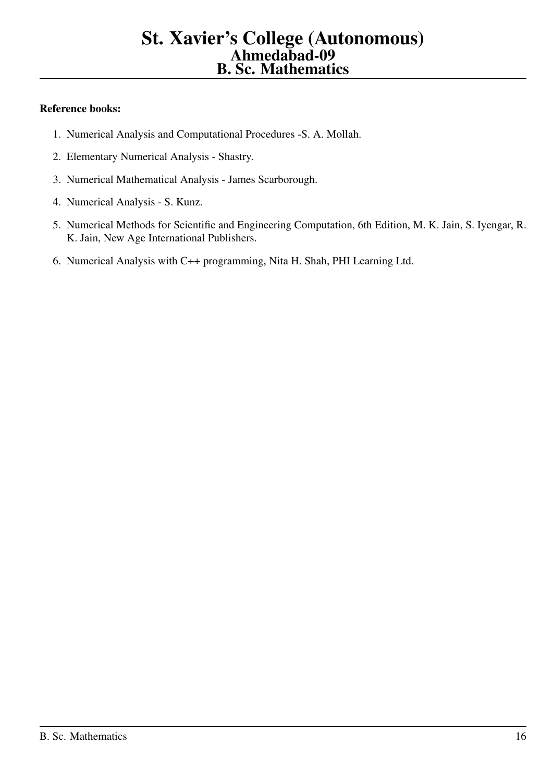- 1. Numerical Analysis and Computational Procedures -S. A. Mollah.
- 2. Elementary Numerical Analysis Shastry.
- 3. Numerical Mathematical Analysis James Scarborough.
- 4. Numerical Analysis S. Kunz.
- 5. Numerical Methods for Scientific and Engineering Computation, 6th Edition, M. K. Jain, S. Iyengar, R. K. Jain, New Age International Publishers.
- 6. Numerical Analysis with C++ programming, Nita H. Shah, PHI Learning Ltd.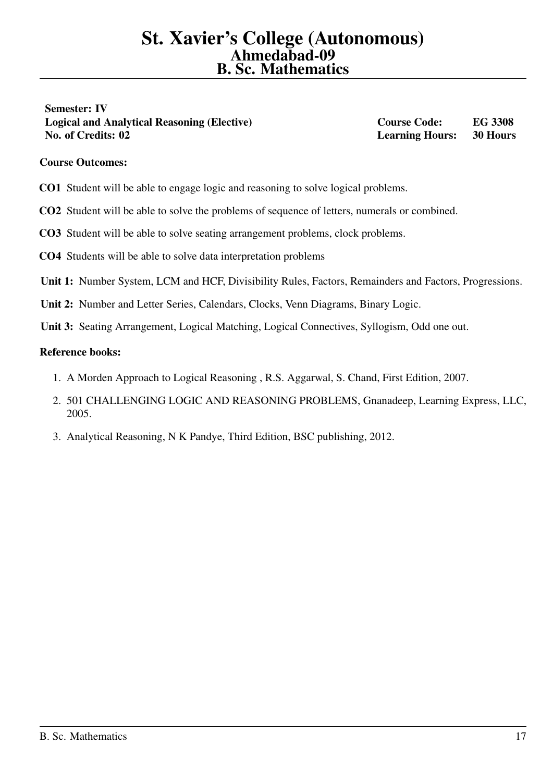<span id="page-16-0"></span>Semester: IV Logical and Analytical Reasoning (Elective) Course Code: EG 3308 No. of Credits: 02 Learning Hours: 30 Hours

# Course Outcomes:

- CO1 Student will be able to engage logic and reasoning to solve logical problems.
- CO2 Student will be able to solve the problems of sequence of letters, numerals or combined.
- CO3 Student will be able to solve seating arrangement problems, clock problems.
- CO4 Students will be able to solve data interpretation problems
- Unit 1: Number System, LCM and HCF, Divisibility Rules, Factors, Remainders and Factors, Progressions.
- Unit 2: Number and Letter Series, Calendars, Clocks, Venn Diagrams, Binary Logic.
- Unit 3: Seating Arrangement, Logical Matching, Logical Connectives, Syllogism, Odd one out.

- 1. A Morden Approach to Logical Reasoning , R.S. Aggarwal, S. Chand, First Edition, 2007.
- 2. 501 CHALLENGING LOGIC AND REASONING PROBLEMS, Gnanadeep, Learning Express, LLC, 2005.
- 3. Analytical Reasoning, N K Pandye, Third Edition, BSC publishing, 2012.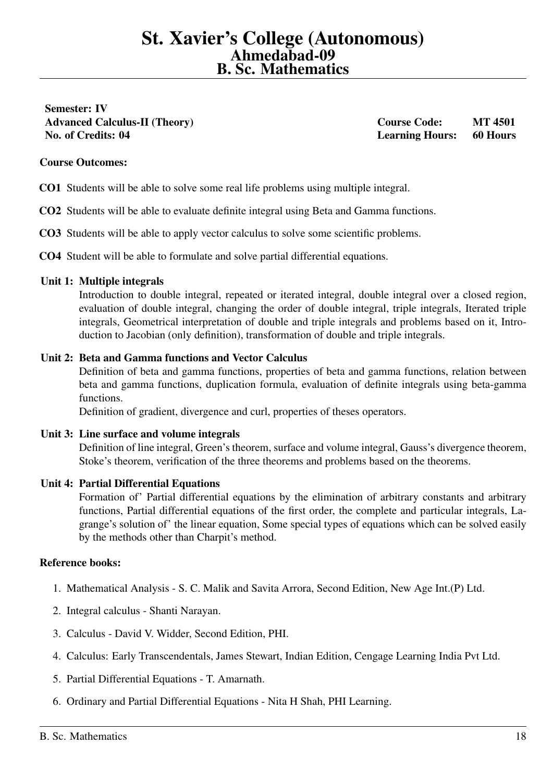<span id="page-17-0"></span>Semester: IV Advanced Calculus-II (Theory) Course Code: MT 4501 No. of Credits: 04 Learning Hours: 60 Hours

## Course Outcomes:

- CO1 Students will be able to solve some real life problems using multiple integral.
- CO2 Students will be able to evaluate definite integral using Beta and Gamma functions.
- CO3 Students will be able to apply vector calculus to solve some scientific problems.
- CO4 Student will be able to formulate and solve partial differential equations.

#### Unit 1: Multiple integrals

Introduction to double integral, repeated or iterated integral, double integral over a closed region, evaluation of double integral, changing the order of double integral, triple integrals, Iterated triple integrals, Geometrical interpretation of double and triple integrals and problems based on it, Introduction to Jacobian (only definition), transformation of double and triple integrals.

#### Unit 2: Beta and Gamma functions and Vector Calculus

Definition of beta and gamma functions, properties of beta and gamma functions, relation between beta and gamma functions, duplication formula, evaluation of definite integrals using beta-gamma functions.

Definition of gradient, divergence and curl, properties of theses operators.

#### Unit 3: Line surface and volume integrals

Definition of line integral, Green's theorem, surface and volume integral, Gauss's divergence theorem, Stoke's theorem, verification of the three theorems and problems based on the theorems.

#### Unit 4: Partial Differential Equations

Formation of' Partial differential equations by the elimination of arbitrary constants and arbitrary functions, Partial differential equations of the first order, the complete and particular integrals, Lagrange's solution of' the linear equation, Some special types of equations which can be solved easily by the methods other than Charpit's method.

- 1. Mathematical Analysis S. C. Malik and Savita Arrora, Second Edition, New Age Int.(P) Ltd.
- 2. Integral calculus Shanti Narayan.
- 3. Calculus David V. Widder, Second Edition, PHI.
- 4. Calculus: Early Transcendentals, James Stewart, Indian Edition, Cengage Learning India Pvt Ltd.
- 5. Partial Differential Equations T. Amarnath.
- 6. Ordinary and Partial Differential Equations Nita H Shah, PHI Learning.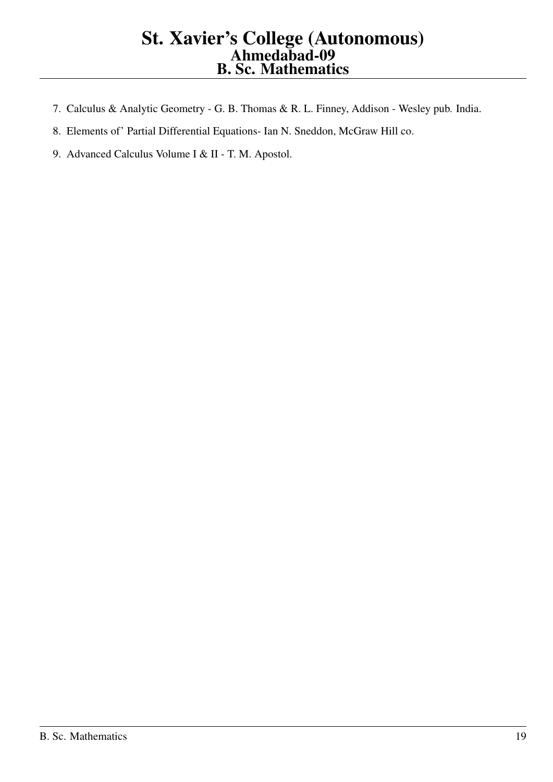- 7. Calculus & Analytic Geometry G. B. Thomas & R. L. Finney, Addison Wesley pub. India.
- 8. Elements of' Partial Differential Equations- Ian N. Sneddon, McGraw Hill co.
- 9. Advanced Calculus Volume I & II T. M. Apostol.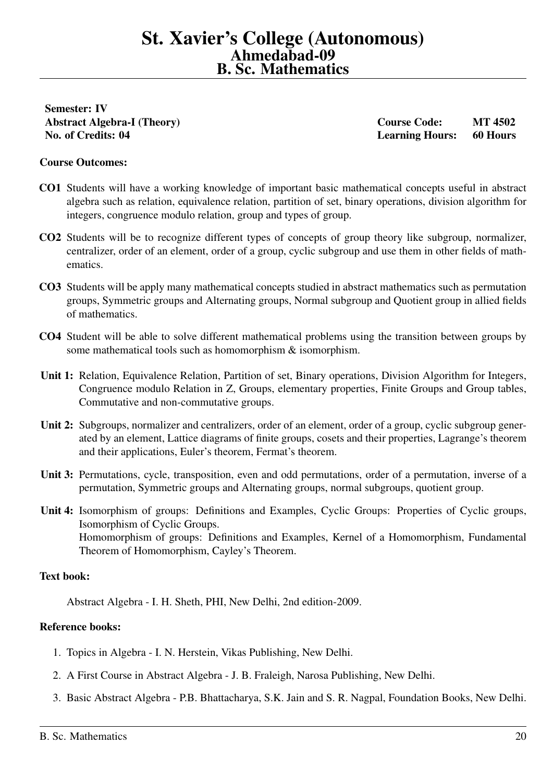<span id="page-19-0"></span>Semester: IV Abstract Algebra-I (Theory) Course Code: MT 4502

No. of Credits: 04 Learning Hours: 60 Hours

#### Course Outcomes:

- CO1 Students will have a working knowledge of important basic mathematical concepts useful in abstract algebra such as relation, equivalence relation, partition of set, binary operations, division algorithm for integers, congruence modulo relation, group and types of group.
- CO2 Students will be to recognize different types of concepts of group theory like subgroup, normalizer, centralizer, order of an element, order of a group, cyclic subgroup and use them in other fields of mathematics.
- CO3 Students will be apply many mathematical concepts studied in abstract mathematics such as permutation groups, Symmetric groups and Alternating groups, Normal subgroup and Quotient group in allied fields of mathematics.
- CO4 Student will be able to solve different mathematical problems using the transition between groups by some mathematical tools such as homomorphism & isomorphism.
- Unit 1: Relation, Equivalence Relation, Partition of set, Binary operations, Division Algorithm for Integers, Congruence modulo Relation in Z, Groups, elementary properties, Finite Groups and Group tables, Commutative and non-commutative groups.
- Unit 2: Subgroups, normalizer and centralizers, order of an element, order of a group, cyclic subgroup generated by an element, Lattice diagrams of finite groups, cosets and their properties, Lagrange's theorem and their applications, Euler's theorem, Fermat's theorem.
- Unit 3: Permutations, cycle, transposition, even and odd permutations, order of a permutation, inverse of a permutation, Symmetric groups and Alternating groups, normal subgroups, quotient group.
- Unit 4: Isomorphism of groups: Definitions and Examples, Cyclic Groups: Properties of Cyclic groups, Isomorphism of Cyclic Groups. Homomorphism of groups: Definitions and Examples, Kernel of a Homomorphism, Fundamental Theorem of Homomorphism, Cayley's Theorem.

#### Text book:

Abstract Algebra - I. H. Sheth, PHI, New Delhi, 2nd edition-2009.

- 1. Topics in Algebra I. N. Herstein, Vikas Publishing, New Delhi.
- 2. A First Course in Abstract Algebra J. B. Fraleigh, Narosa Publishing, New Delhi.
- 3. Basic Abstract Algebra P.B. Bhattacharya, S.K. Jain and S. R. Nagpal, Foundation Books, New Delhi.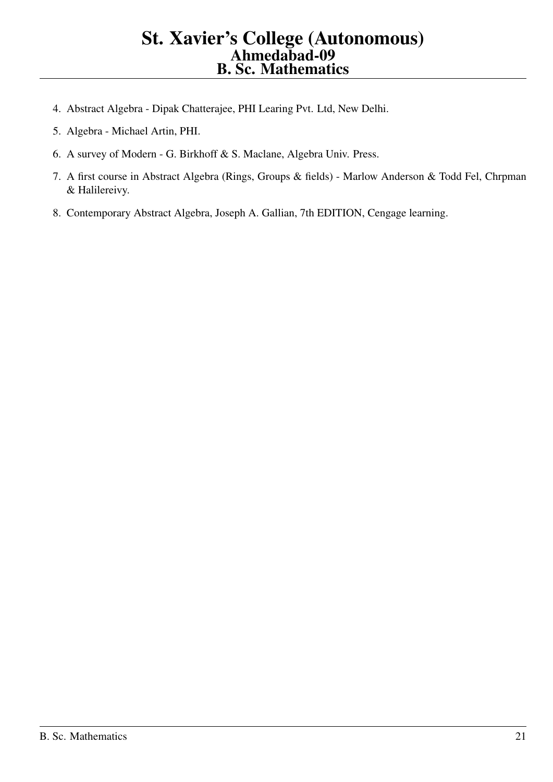- 4. Abstract Algebra Dipak Chatterajee, PHI Learing Pvt. Ltd, New Delhi.
- 5. Algebra Michael Artin, PHI.
- 6. A survey of Modern G. Birkhoff & S. Maclane, Algebra Univ. Press.
- 7. A first course in Abstract Algebra (Rings, Groups & fields) Marlow Anderson & Todd Fel, Chrpman & Halilereivy.
- 8. Contemporary Abstract Algebra, Joseph A. Gallian, 7th EDITION, Cengage learning.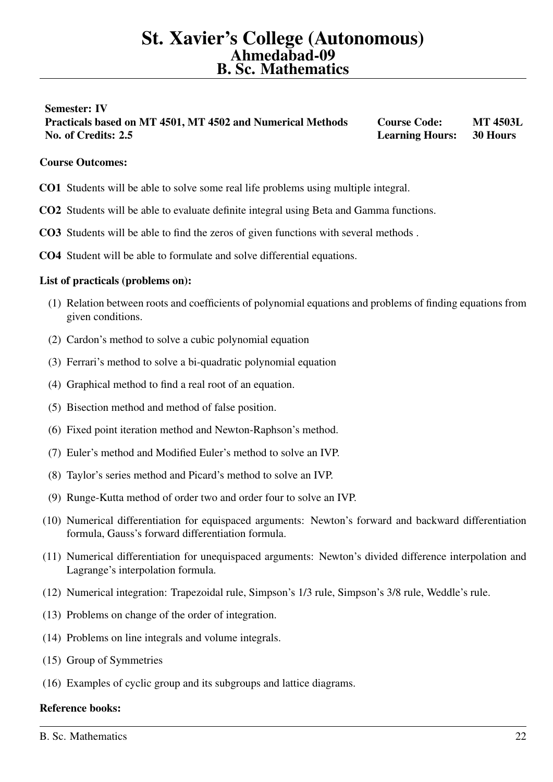# <span id="page-21-0"></span>Semester: IV Practicals based on MT 4501, MT 4502 and Numerical Methods Course Code: MT 4503L No. of Credits: 2.5 Learning Hours: 30 Hours

## Course Outcomes:

- CO1 Students will be able to solve some real life problems using multiple integral.
- CO2 Students will be able to evaluate definite integral using Beta and Gamma functions.
- CO3 Students will be able to find the zeros of given functions with several methods .
- CO4 Student will be able to formulate and solve differential equations.

#### List of practicals (problems on):

- (1) Relation between roots and coefficients of polynomial equations and problems of finding equations from given conditions.
- (2) Cardon's method to solve a cubic polynomial equation
- (3) Ferrari's method to solve a bi-quadratic polynomial equation
- (4) Graphical method to find a real root of an equation.
- (5) Bisection method and method of false position.
- (6) Fixed point iteration method and Newton-Raphson's method.
- (7) Euler's method and Modified Euler's method to solve an IVP.
- (8) Taylor's series method and Picard's method to solve an IVP.
- (9) Runge-Kutta method of order two and order four to solve an IVP.
- (10) Numerical differentiation for equispaced arguments: Newton's forward and backward differentiation formula, Gauss's forward differentiation formula.
- (11) Numerical differentiation for unequispaced arguments: Newton's divided difference interpolation and Lagrange's interpolation formula.
- (12) Numerical integration: Trapezoidal rule, Simpson's 1/3 rule, Simpson's 3/8 rule, Weddle's rule.
- (13) Problems on change of the order of integration.
- (14) Problems on line integrals and volume integrals.
- (15) Group of Symmetries
- (16) Examples of cyclic group and its subgroups and lattice diagrams.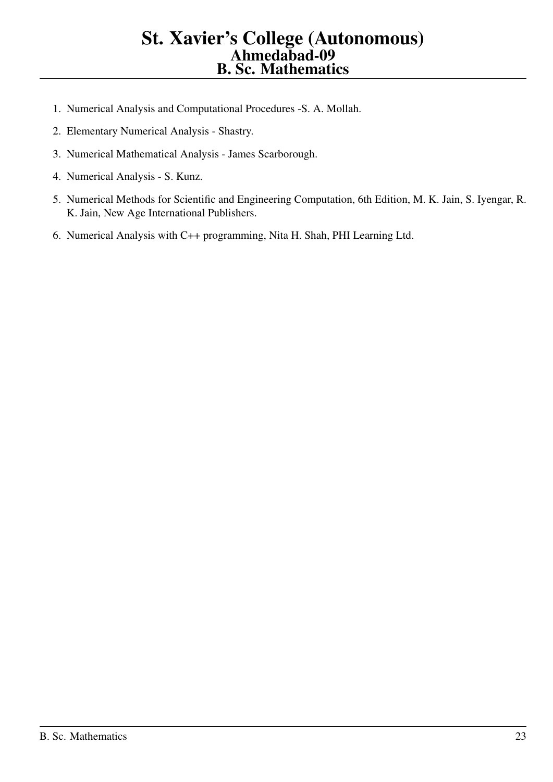- 1. Numerical Analysis and Computational Procedures -S. A. Mollah.
- 2. Elementary Numerical Analysis Shastry.
- 3. Numerical Mathematical Analysis James Scarborough.
- 4. Numerical Analysis S. Kunz.
- 5. Numerical Methods for Scientific and Engineering Computation, 6th Edition, M. K. Jain, S. Iyengar, R. K. Jain, New Age International Publishers.
- 6. Numerical Analysis with C++ programming, Nita H. Shah, PHI Learning Ltd.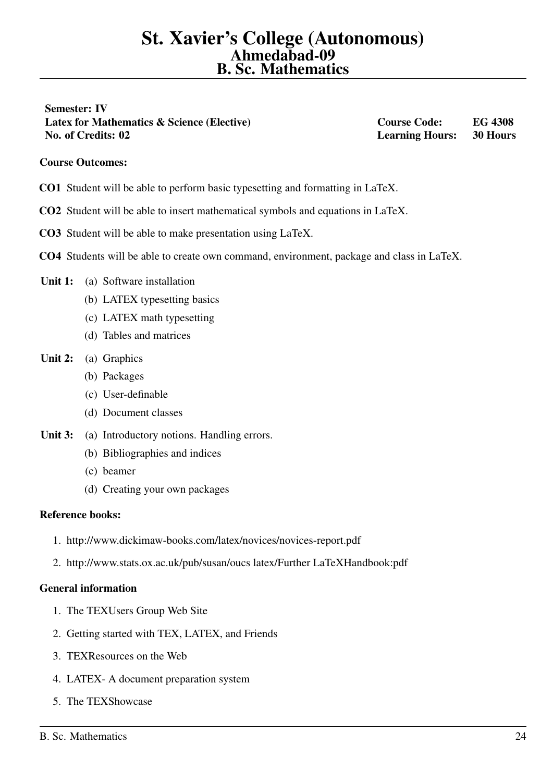<span id="page-23-0"></span>Semester: IV Latex for Mathematics & Science (Elective) Course Code: EG 4308 No. of Credits: 02 Learning Hours: 30 Hours

## Course Outcomes:

- CO1 Student will be able to perform basic typesetting and formatting in LaTeX.
- CO2 Student will be able to insert mathematical symbols and equations in LaTeX.
- CO3 Student will be able to make presentation using LaTeX.
- CO4 Students will be able to create own command, environment, package and class in LaTeX.

#### Unit 1: (a) Software installation

- (b) LATEX typesetting basics
- (c) LATEX math typesetting
- (d) Tables and matrices

## Unit 2: (a) Graphics

- (b) Packages
- (c) User-definable
- (d) Document classes
- Unit 3: (a) Introductory notions. Handling errors.
	- (b) Bibliographies and indices
	- (c) beamer
	- (d) Creating your own packages

#### Reference books:

- 1. http://www.dickimaw-books.com/latex/novices/novices-report.pdf
- 2. http://www.stats.ox.ac.uk/pub/susan/oucs latex/Further LaTeXHandbook:pdf

#### General information

- 1. The TEXUsers Group Web Site
- 2. Getting started with TEX, LATEX, and Friends
- 3. TEXResources on the Web
- 4. LATEX- A document preparation system
- 5. The TEXShowcase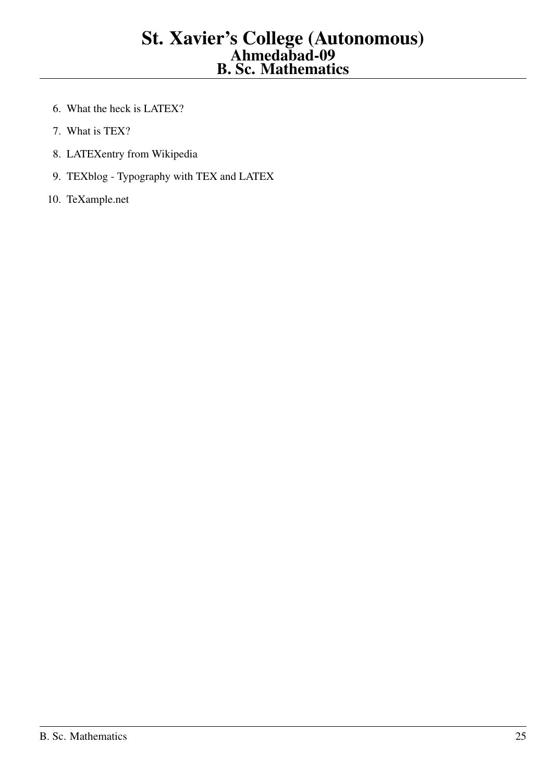- 6. What the heck is LATEX?
- 7. What is TEX?
- 8. LATEXentry from Wikipedia
- 9. TEXblog Typography with TEX and LATEX
- 10. TeXample.net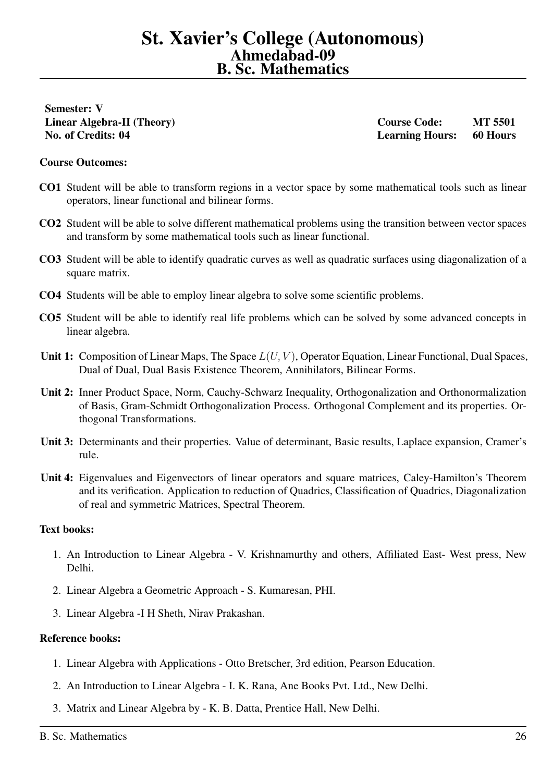<span id="page-25-0"></span>Semester: V

Linear Algebra-II (Theory) Course Code: MT 5501 No. of Credits: 04 Learning Hours: 60 Hours

#### Course Outcomes:

- CO1 Student will be able to transform regions in a vector space by some mathematical tools such as linear operators, linear functional and bilinear forms.
- CO2 Student will be able to solve different mathematical problems using the transition between vector spaces and transform by some mathematical tools such as linear functional.
- CO3 Student will be able to identify quadratic curves as well as quadratic surfaces using diagonalization of a square matrix.
- CO4 Students will be able to employ linear algebra to solve some scientific problems.
- CO5 Student will be able to identify real life problems which can be solved by some advanced concepts in linear algebra.
- Unit 1: Composition of Linear Maps, The Space  $L(U, V)$ , Operator Equation, Linear Functional, Dual Spaces, Dual of Dual, Dual Basis Existence Theorem, Annihilators, Bilinear Forms.
- Unit 2: Inner Product Space, Norm, Cauchy-Schwarz Inequality, Orthogonalization and Orthonormalization of Basis, Gram-Schmidt Orthogonalization Process. Orthogonal Complement and its properties. Orthogonal Transformations.
- Unit 3: Determinants and their properties. Value of determinant, Basic results, Laplace expansion, Cramer's rule.
- Unit 4: Eigenvalues and Eigenvectors of linear operators and square matrices, Caley-Hamilton's Theorem and its verification. Application to reduction of Quadrics, Classification of Quadrics, Diagonalization of real and symmetric Matrices, Spectral Theorem.

#### Text books:

- 1. An Introduction to Linear Algebra V. Krishnamurthy and others, Affiliated East- West press, New Delhi.
- 2. Linear Algebra a Geometric Approach S. Kumaresan, PHI.
- 3. Linear Algebra -I H Sheth, Nirav Prakashan.

- 1. Linear Algebra with Applications Otto Bretscher, 3rd edition, Pearson Education.
- 2. An Introduction to Linear Algebra I. K. Rana, Ane Books Pvt. Ltd., New Delhi.
- 3. Matrix and Linear Algebra by K. B. Datta, Prentice Hall, New Delhi.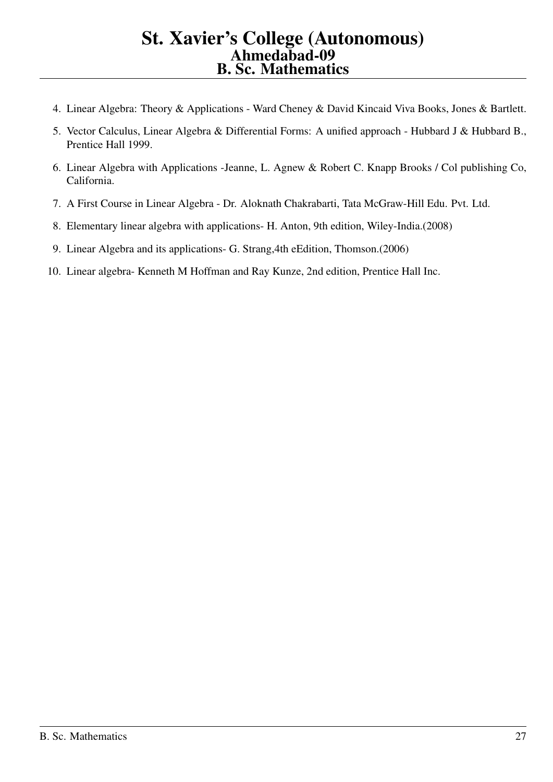- 4. Linear Algebra: Theory & Applications Ward Cheney & David Kincaid Viva Books, Jones & Bartlett.
- 5. Vector Calculus, Linear Algebra & Differential Forms: A unified approach Hubbard J & Hubbard B., Prentice Hall 1999.
- 6. Linear Algebra with Applications -Jeanne, L. Agnew & Robert C. Knapp Brooks / Col publishing Co, California.
- 7. A First Course in Linear Algebra Dr. Aloknath Chakrabarti, Tata McGraw-Hill Edu. Pvt. Ltd.
- 8. Elementary linear algebra with applications- H. Anton, 9th edition, Wiley-India.(2008)
- 9. Linear Algebra and its applications- G. Strang,4th eEdition, Thomson.(2006)
- 10. Linear algebra- Kenneth M Hoffman and Ray Kunze, 2nd edition, Prentice Hall Inc.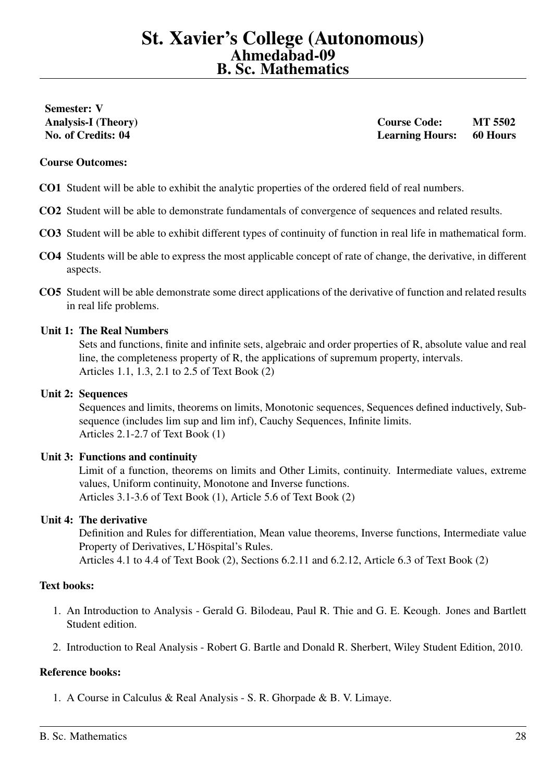# <span id="page-27-0"></span>Semester: V

Analysis-I (Theory) Course Code: MT 5502 No. of Credits: 04 Learning Hours: 60 Hours

#### Course Outcomes:

- CO1 Student will be able to exhibit the analytic properties of the ordered field of real numbers.
- CO2 Student will be able to demonstrate fundamentals of convergence of sequences and related results.
- CO3 Student will be able to exhibit different types of continuity of function in real life in mathematical form.
- CO4 Students will be able to express the most applicable concept of rate of change, the derivative, in different aspects.
- CO5 Student will be able demonstrate some direct applications of the derivative of function and related results in real life problems.

#### Unit 1: The Real Numbers

Sets and functions, finite and infinite sets, algebraic and order properties of R, absolute value and real line, the completeness property of R, the applications of supremum property, intervals. Articles 1.1, 1.3, 2.1 to 2.5 of Text Book (2)

#### Unit 2: Sequences

Sequences and limits, theorems on limits, Monotonic sequences, Sequences defined inductively, Subsequence (includes lim sup and lim inf), Cauchy Sequences, Infinite limits. Articles 2.1-2.7 of Text Book (1)

#### Unit 3: Functions and continuity

Limit of a function, theorems on limits and Other Limits, continuity. Intermediate values, extreme values, Uniform continuity, Monotone and Inverse functions. Articles 3.1-3.6 of Text Book (1), Article 5.6 of Text Book (2)

#### Unit 4: The derivative

Definition and Rules for differentiation, Mean value theorems, Inverse functions, Intermediate value Property of Derivatives, L'Höspital's Rules.

Articles 4.1 to 4.4 of Text Book (2), Sections 6.2.11 and 6.2.12, Article 6.3 of Text Book (2)

# Text books:

- 1. An Introduction to Analysis Gerald G. Bilodeau, Paul R. Thie and G. E. Keough. Jones and Bartlett Student edition.
- 2. Introduction to Real Analysis Robert G. Bartle and Donald R. Sherbert, Wiley Student Edition, 2010.

#### Reference books:

1. A Course in Calculus & Real Analysis - S. R. Ghorpade & B. V. Limaye.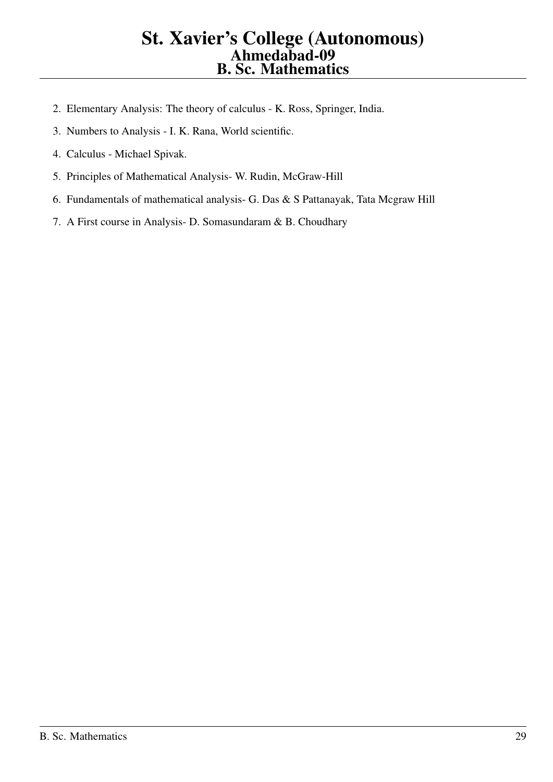- 2. Elementary Analysis: The theory of calculus K. Ross, Springer, India.
- 3. Numbers to Analysis I. K. Rana, World scientific.
- 4. Calculus Michael Spivak.
- 5. Principles of Mathematical Analysis- W. Rudin, McGraw-Hill
- 6. Fundamentals of mathematical analysis- G. Das & S Pattanayak, Tata Mcgraw Hill
- 7. A First course in Analysis- D. Somasundaram & B. Choudhary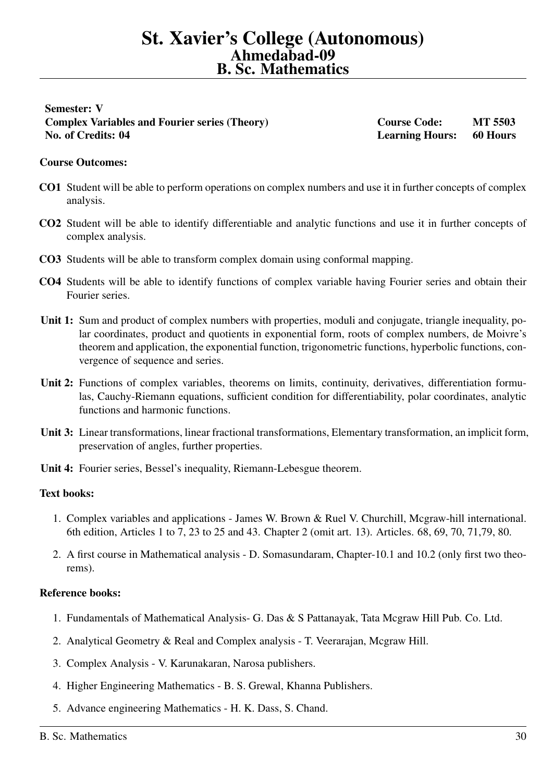# <span id="page-29-0"></span>Semester: V Complex Variables and Fourier series (Theory) Course Code: MT 5503 No. of Credits: 04 Learning Hours: 60 Hours

## Course Outcomes:

- CO1 Student will be able to perform operations on complex numbers and use it in further concepts of complex analysis.
- CO2 Student will be able to identify differentiable and analytic functions and use it in further concepts of complex analysis.
- CO3 Students will be able to transform complex domain using conformal mapping.
- CO4 Students will be able to identify functions of complex variable having Fourier series and obtain their Fourier series.
- Unit 1: Sum and product of complex numbers with properties, moduli and conjugate, triangle inequality, polar coordinates, product and quotients in exponential form, roots of complex numbers, de Moivre's theorem and application, the exponential function, trigonometric functions, hyperbolic functions, convergence of sequence and series.
- Unit 2: Functions of complex variables, theorems on limits, continuity, derivatives, differentiation formulas, Cauchy-Riemann equations, sufficient condition for differentiability, polar coordinates, analytic functions and harmonic functions.
- Unit 3: Linear transformations, linear fractional transformations, Elementary transformation, an implicit form, preservation of angles, further properties.
- Unit 4: Fourier series, Bessel's inequality, Riemann-Lebesgue theorem.

#### Text books:

- 1. Complex variables and applications James W. Brown & Ruel V. Churchill, Mcgraw-hill international. 6th edition, Articles 1 to 7, 23 to 25 and 43. Chapter 2 (omit art. 13). Articles. 68, 69, 70, 71,79, 80.
- 2. A first course in Mathematical analysis D. Somasundaram, Chapter-10.1 and 10.2 (only first two theorems).

- 1. Fundamentals of Mathematical Analysis- G. Das & S Pattanayak, Tata Mcgraw Hill Pub. Co. Ltd.
- 2. Analytical Geometry & Real and Complex analysis T. Veerarajan, Mcgraw Hill.
- 3. Complex Analysis V. Karunakaran, Narosa publishers.
- 4. Higher Engineering Mathematics B. S. Grewal, Khanna Publishers.
- 5. Advance engineering Mathematics H. K. Dass, S. Chand.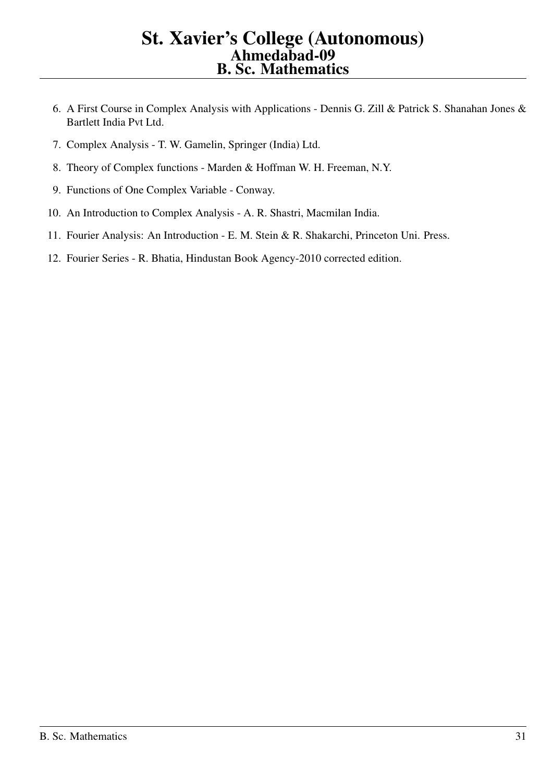- 6. A First Course in Complex Analysis with Applications Dennis G. Zill & Patrick S. Shanahan Jones & Bartlett India Pvt Ltd.
- 7. Complex Analysis T. W. Gamelin, Springer (India) Ltd.
- 8. Theory of Complex functions Marden & Hoffman W. H. Freeman, N.Y.
- 9. Functions of One Complex Variable Conway.
- 10. An Introduction to Complex Analysis A. R. Shastri, Macmilan India.
- 11. Fourier Analysis: An Introduction E. M. Stein & R. Shakarchi, Princeton Uni. Press.
- 12. Fourier Series R. Bhatia, Hindustan Book Agency-2010 corrected edition.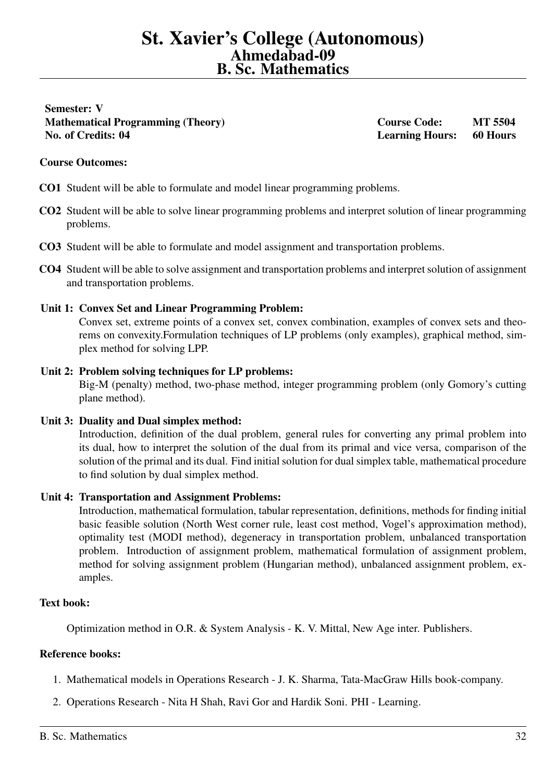<span id="page-31-0"></span>Semester: V Mathematical Programming (Theory) Course Code: MT 5504 No. of Credits: 04 Learning Hours: 60 Hours

#### Course Outcomes:

- CO1 Student will be able to formulate and model linear programming problems.
- CO2 Student will be able to solve linear programming problems and interpret solution of linear programming problems.
- CO3 Student will be able to formulate and model assignment and transportation problems.
- CO4 Student will be able to solve assignment and transportation problems and interpret solution of assignment and transportation problems.

#### Unit 1: Convex Set and Linear Programming Problem:

Convex set, extreme points of a convex set, convex combination, examples of convex sets and theorems on convexity.Formulation techniques of LP problems (only examples), graphical method, simplex method for solving LPP.

# Unit 2: Problem solving techniques for LP problems:

Big-M (penalty) method, two-phase method, integer programming problem (only Gomory's cutting plane method).

Unit 3: Duality and Dual simplex method:

Introduction, definition of the dual problem, general rules for converting any primal problem into its dual, how to interpret the solution of the dual from its primal and vice versa, comparison of the solution of the primal and its dual. Find initial solution for dual simplex table, mathematical procedure to find solution by dual simplex method.

#### Unit 4: Transportation and Assignment Problems:

Introduction, mathematical formulation, tabular representation, definitions, methods for finding initial basic feasible solution (North West corner rule, least cost method, Vogel's approximation method), optimality test (MODI method), degeneracy in transportation problem, unbalanced transportation problem. Introduction of assignment problem, mathematical formulation of assignment problem, method for solving assignment problem (Hungarian method), unbalanced assignment problem, examples.

#### Text book:

Optimization method in O.R. & System Analysis - K. V. Mittal, New Age inter. Publishers.

- 1. Mathematical models in Operations Research J. K. Sharma, Tata-MacGraw Hills book-company.
- 2. Operations Research Nita H Shah, Ravi Gor and Hardik Soni. PHI Learning.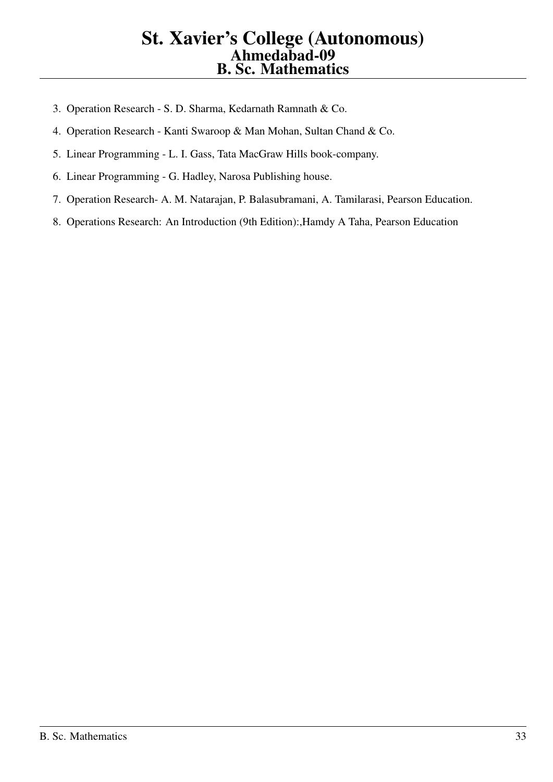- 3. Operation Research S. D. Sharma, Kedarnath Ramnath & Co.
- 4. Operation Research Kanti Swaroop & Man Mohan, Sultan Chand & Co.
- 5. Linear Programming L. I. Gass, Tata MacGraw Hills book-company.
- 6. Linear Programming G. Hadley, Narosa Publishing house.
- 7. Operation Research- A. M. Natarajan, P. Balasubramani, A. Tamilarasi, Pearson Education.
- 8. Operations Research: An Introduction (9th Edition):,Hamdy A Taha, Pearson Education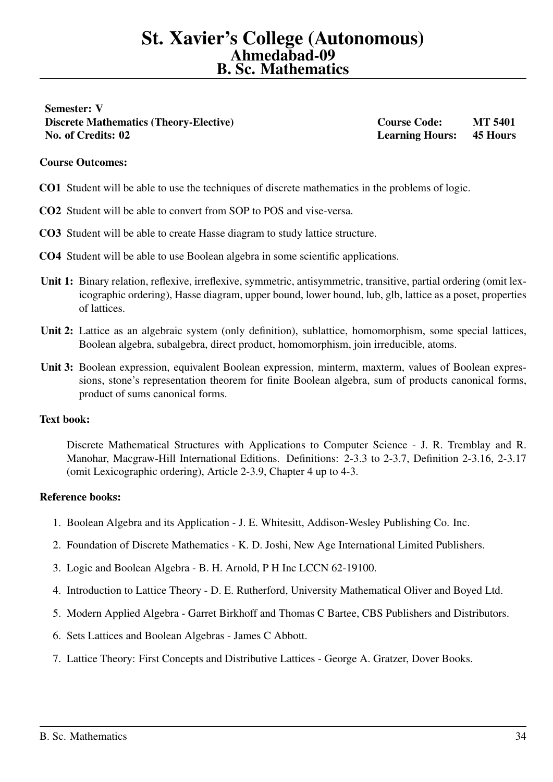<span id="page-33-0"></span>Semester: V Discrete Mathematics (Theory-Elective) Course Code: MT 5401 No. of Credits: 02 Learning Hours: 45 Hours

#### Course Outcomes:

- CO1 Student will be able to use the techniques of discrete mathematics in the problems of logic.
- CO2 Student will be able to convert from SOP to POS and vise-versa.
- CO3 Student will be able to create Hasse diagram to study lattice structure.
- CO4 Student will be able to use Boolean algebra in some scientific applications.
- Unit 1: Binary relation, reflexive, irreflexive, symmetric, antisymmetric, transitive, partial ordering (omit lexicographic ordering), Hasse diagram, upper bound, lower bound, lub, glb, lattice as a poset, properties of lattices.
- Unit 2: Lattice as an algebraic system (only definition), sublattice, homomorphism, some special lattices, Boolean algebra, subalgebra, direct product, homomorphism, join irreducible, atoms.
- Unit 3: Boolean expression, equivalent Boolean expression, minterm, maxterm, values of Boolean expressions, stone's representation theorem for finite Boolean algebra, sum of products canonical forms, product of sums canonical forms.

#### Text book:

Discrete Mathematical Structures with Applications to Computer Science - J. R. Tremblay and R. Manohar, Macgraw-Hill International Editions. Definitions: 2-3.3 to 2-3.7, Definition 2-3.16, 2-3.17 (omit Lexicographic ordering), Article 2-3.9, Chapter 4 up to 4-3.

- 1. Boolean Algebra and its Application J. E. Whitesitt, Addison-Wesley Publishing Co. Inc.
- 2. Foundation of Discrete Mathematics K. D. Joshi, New Age International Limited Publishers.
- 3. Logic and Boolean Algebra B. H. Arnold, P H Inc LCCN 62-19100.
- 4. Introduction to Lattice Theory D. E. Rutherford, University Mathematical Oliver and Boyed Ltd.
- 5. Modern Applied Algebra Garret Birkhoff and Thomas C Bartee, CBS Publishers and Distributors.
- 6. Sets Lattices and Boolean Algebras James C Abbott.
- 7. Lattice Theory: First Concepts and Distributive Lattices George A. Gratzer, Dover Books.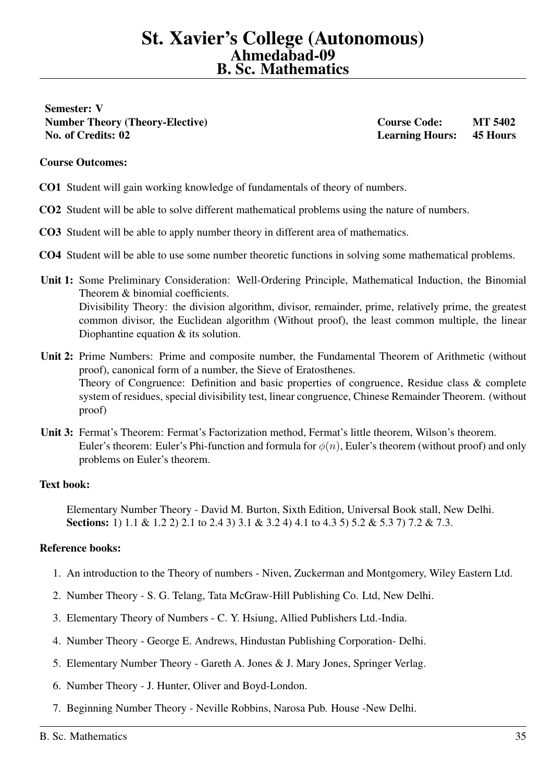<span id="page-34-0"></span>Semester: V Number Theory (Theory-Elective) Course Code: MT 5402 No. of Credits: 02 Learning Hours: 45 Hours

#### Course Outcomes:

- CO1 Student will gain working knowledge of fundamentals of theory of numbers.
- CO2 Student will be able to solve different mathematical problems using the nature of numbers.
- CO3 Student will be able to apply number theory in different area of mathematics.
- CO4 Student will be able to use some number theoretic functions in solving some mathematical problems.
- Unit 1: Some Preliminary Consideration: Well-Ordering Principle, Mathematical Induction, the Binomial Theorem & binomial coefficients. Divisibility Theory: the division algorithm, divisor, remainder, prime, relatively prime, the greatest common divisor, the Euclidean algorithm (Without proof), the least common multiple, the linear Diophantine equation & its solution.
- Unit 2: Prime Numbers: Prime and composite number, the Fundamental Theorem of Arithmetic (without proof), canonical form of a number, the Sieve of Eratosthenes. Theory of Congruence: Definition and basic properties of congruence, Residue class & complete system of residues, special divisibility test, linear congruence, Chinese Remainder Theorem. (without proof)
- Unit 3: Fermat's Theorem: Fermat's Factorization method, Fermat's little theorem, Wilson's theorem. Euler's theorem: Euler's Phi-function and formula for  $\phi(n)$ , Euler's theorem (without proof) and only problems on Euler's theorem.

#### Text book:

Elementary Number Theory - David M. Burton, Sixth Edition, Universal Book stall, New Delhi. Sections: 1) 1.1 & 1.2 2) 2.1 to 2.4 3) 3.1 & 3.2 4) 4.1 to 4.3 5) 5.2 & 5.3 7) 7.2 & 7.3.

- 1. An introduction to the Theory of numbers Niven, Zuckerman and Montgomery, Wiley Eastern Ltd.
- 2. Number Theory S. G. Telang, Tata McGraw-Hill Publishing Co. Ltd, New Delhi.
- 3. Elementary Theory of Numbers C. Y. Hsiung, Allied Publishers Ltd.-India.
- 4. Number Theory George E. Andrews, Hindustan Publishing Corporation- Delhi.
- 5. Elementary Number Theory Gareth A. Jones & J. Mary Jones, Springer Verlag.
- 6. Number Theory J. Hunter, Oliver and Boyd-London.
- 7. Beginning Number Theory Neville Robbins, Narosa Pub. House -New Delhi.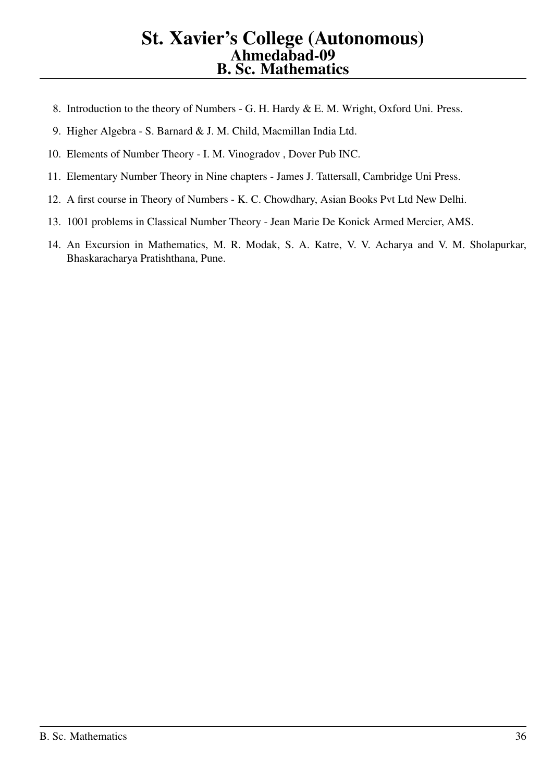- 8. Introduction to the theory of Numbers G. H. Hardy & E. M. Wright, Oxford Uni. Press.
- 9. Higher Algebra S. Barnard & J. M. Child, Macmillan India Ltd.
- 10. Elements of Number Theory I. M. Vinogradov , Dover Pub INC.
- 11. Elementary Number Theory in Nine chapters James J. Tattersall, Cambridge Uni Press.
- 12. A first course in Theory of Numbers K. C. Chowdhary, Asian Books Pvt Ltd New Delhi.
- 13. 1001 problems in Classical Number Theory Jean Marie De Konick Armed Mercier, AMS.
- 14. An Excursion in Mathematics, M. R. Modak, S. A. Katre, V. V. Acharya and V. M. Sholapurkar, Bhaskaracharya Pratishthana, Pune.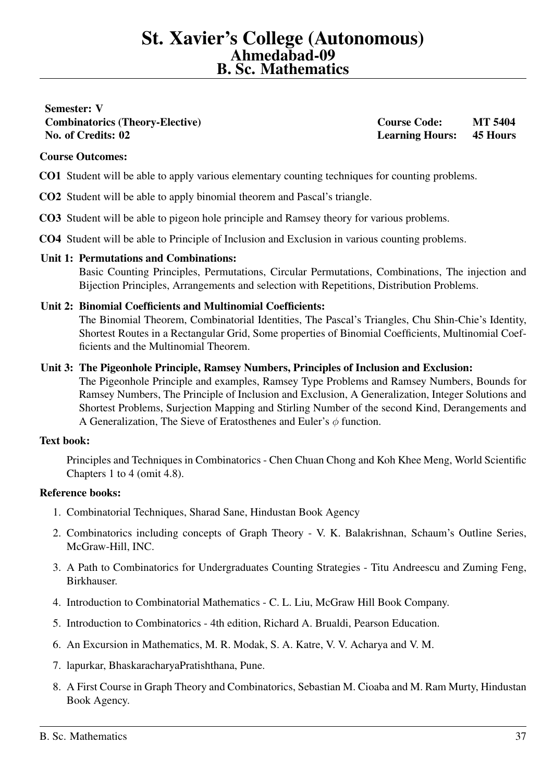# <span id="page-36-0"></span>Semester: V Combinatorics (Theory-Elective) Course Code: MT 5404 No. of Credits: 02 Learning Hours: 45 Hours

# Course Outcomes:

- CO1 Student will be able to apply various elementary counting techniques for counting problems.
- CO2 Student will be able to apply binomial theorem and Pascal's triangle.
- CO3 Student will be able to pigeon hole principle and Ramsey theory for various problems.
- CO4 Student will be able to Principle of Inclusion and Exclusion in various counting problems.

# Unit 1: Permutations and Combinations:

Basic Counting Principles, Permutations, Circular Permutations, Combinations, The injection and Bijection Principles, Arrangements and selection with Repetitions, Distribution Problems.

#### Unit 2: Binomial Coefficients and Multinomial Coefficients:

The Binomial Theorem, Combinatorial Identities, The Pascal's Triangles, Chu Shin-Chie's Identity, Shortest Routes in a Rectangular Grid, Some properties of Binomial Coefficients, Multinomial Coefficients and the Multinomial Theorem.

#### Unit 3: The Pigeonhole Principle, Ramsey Numbers, Principles of Inclusion and Exclusion:

The Pigeonhole Principle and examples, Ramsey Type Problems and Ramsey Numbers, Bounds for Ramsey Numbers, The Principle of Inclusion and Exclusion, A Generalization, Integer Solutions and Shortest Problems, Surjection Mapping and Stirling Number of the second Kind, Derangements and A Generalization, The Sieve of Eratosthenes and Euler's  $\phi$  function.

# Text book:

Principles and Techniques in Combinatorics - Chen Chuan Chong and Koh Khee Meng, World Scientific Chapters 1 to 4 (omit 4.8).

- 1. Combinatorial Techniques, Sharad Sane, Hindustan Book Agency
- 2. Combinatorics including concepts of Graph Theory V. K. Balakrishnan, Schaum's Outline Series, McGraw-Hill, INC.
- 3. A Path to Combinatorics for Undergraduates Counting Strategies Titu Andreescu and Zuming Feng, Birkhauser.
- 4. Introduction to Combinatorial Mathematics C. L. Liu, McGraw Hill Book Company.
- 5. Introduction to Combinatorics 4th edition, Richard A. Brualdi, Pearson Education.
- 6. An Excursion in Mathematics, M. R. Modak, S. A. Katre, V. V. Acharya and V. M.
- 7. lapurkar, BhaskaracharyaPratishthana, Pune.
- 8. A First Course in Graph Theory and Combinatorics, Sebastian M. Cioaba and M. Ram Murty, Hindustan Book Agency.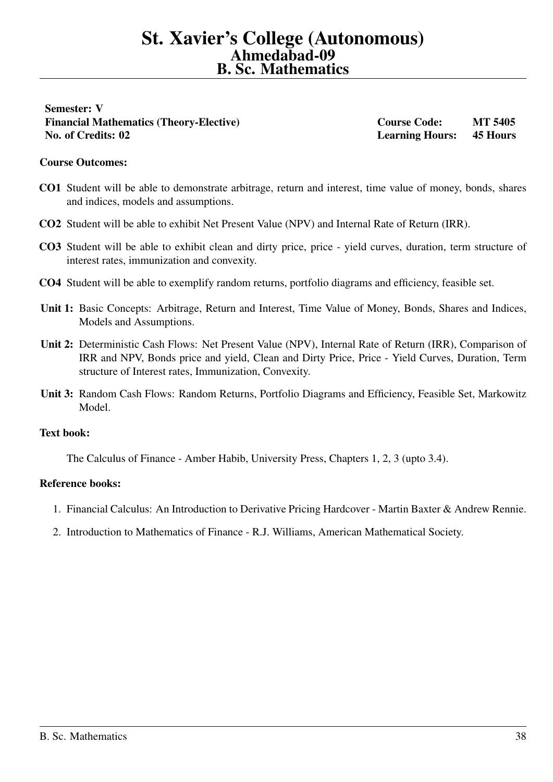<span id="page-37-0"></span>Semester: V Financial Mathematics (Theory-Elective) Course Code: MT 5405 No. of Credits: 02 Learning Hours: 45 Hours

#### Course Outcomes:

- CO1 Student will be able to demonstrate arbitrage, return and interest, time value of money, bonds, shares and indices, models and assumptions.
- CO2 Student will be able to exhibit Net Present Value (NPV) and Internal Rate of Return (IRR).
- CO3 Student will be able to exhibit clean and dirty price, price yield curves, duration, term structure of interest rates, immunization and convexity.
- CO4 Student will be able to exemplify random returns, portfolio diagrams and efficiency, feasible set.
- Unit 1: Basic Concepts: Arbitrage, Return and Interest, Time Value of Money, Bonds, Shares and Indices, Models and Assumptions.
- Unit 2: Deterministic Cash Flows: Net Present Value (NPV), Internal Rate of Return (IRR), Comparison of IRR and NPV, Bonds price and yield, Clean and Dirty Price, Price - Yield Curves, Duration, Term structure of Interest rates, Immunization, Convexity.
- Unit 3: Random Cash Flows: Random Returns, Portfolio Diagrams and Efficiency, Feasible Set, Markowitz Model.

#### Text book:

The Calculus of Finance - Amber Habib, University Press, Chapters 1, 2, 3 (upto 3.4).

- 1. Financial Calculus: An Introduction to Derivative Pricing Hardcover Martin Baxter & Andrew Rennie.
- 2. Introduction to Mathematics of Finance R.J. Williams, American Mathematical Society.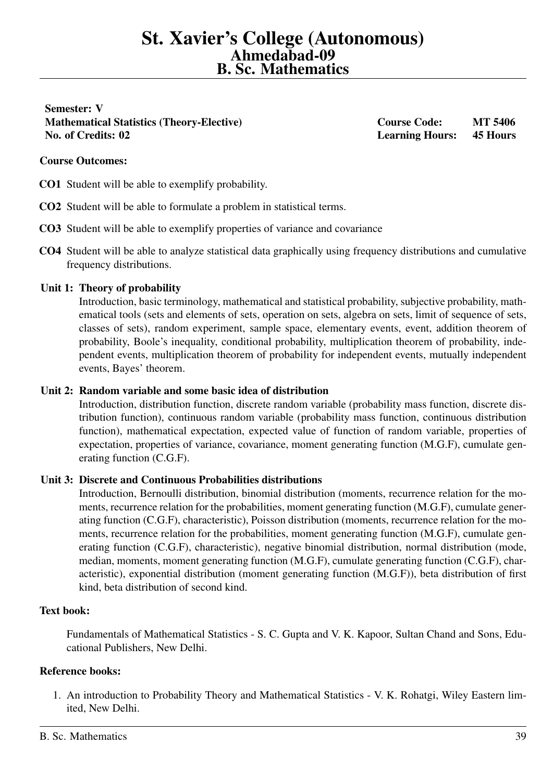<span id="page-38-0"></span>Semester: V Mathematical Statistics (Theory-Elective) Course Code: MT 5406 No. of Credits: 02 Learning Hours: 45 Hours

## Course Outcomes:

CO1 Student will be able to exemplify probability.

- CO2 Student will be able to formulate a problem in statistical terms.
- CO3 Student will be able to exemplify properties of variance and covariance
- CO4 Student will be able to analyze statistical data graphically using frequency distributions and cumulative frequency distributions.

#### Unit 1: Theory of probability

Introduction, basic terminology, mathematical and statistical probability, subjective probability, mathematical tools (sets and elements of sets, operation on sets, algebra on sets, limit of sequence of sets, classes of sets), random experiment, sample space, elementary events, event, addition theorem of probability, Boole's inequality, conditional probability, multiplication theorem of probability, independent events, multiplication theorem of probability for independent events, mutually independent events, Bayes' theorem.

#### Unit 2: Random variable and some basic idea of distribution

Introduction, distribution function, discrete random variable (probability mass function, discrete distribution function), continuous random variable (probability mass function, continuous distribution function), mathematical expectation, expected value of function of random variable, properties of expectation, properties of variance, covariance, moment generating function (M.G.F), cumulate generating function (C.G.F).

# Unit 3: Discrete and Continuous Probabilities distributions

Introduction, Bernoulli distribution, binomial distribution (moments, recurrence relation for the moments, recurrence relation for the probabilities, moment generating function (M.G.F), cumulate generating function (C.G.F), characteristic), Poisson distribution (moments, recurrence relation for the moments, recurrence relation for the probabilities, moment generating function (M.G.F), cumulate generating function (C.G.F), characteristic), negative binomial distribution, normal distribution (mode, median, moments, moment generating function (M.G.F), cumulate generating function (C.G.F), characteristic), exponential distribution (moment generating function (M.G.F)), beta distribution of first kind, beta distribution of second kind.

#### Text book:

Fundamentals of Mathematical Statistics - S. C. Gupta and V. K. Kapoor, Sultan Chand and Sons, Educational Publishers, New Delhi.

#### Reference books:

1. An introduction to Probability Theory and Mathematical Statistics - V. K. Rohatgi, Wiley Eastern limited, New Delhi.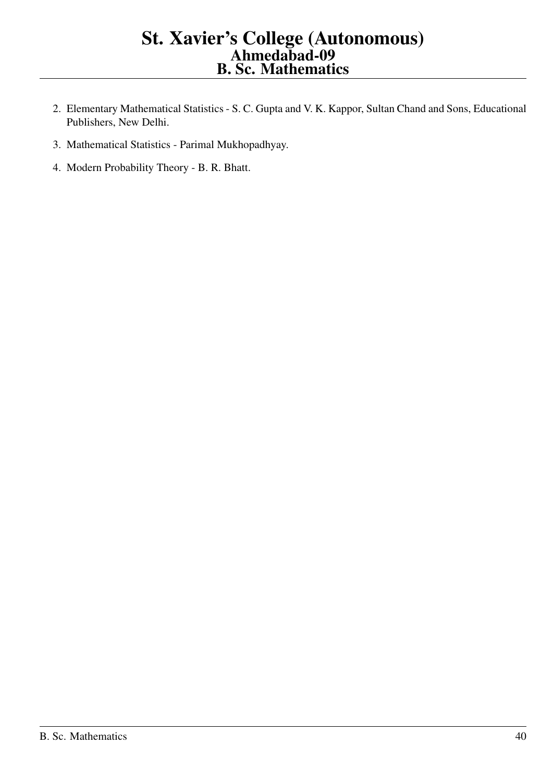- 2. Elementary Mathematical Statistics S. C. Gupta and V. K. Kappor, Sultan Chand and Sons, Educational Publishers, New Delhi.
- 3. Mathematical Statistics Parimal Mukhopadhyay.
- 4. Modern Probability Theory B. R. Bhatt.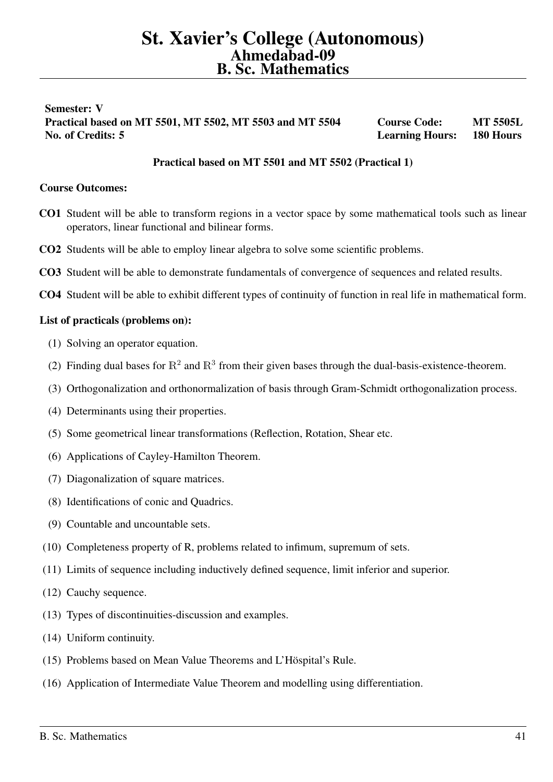# <span id="page-40-0"></span>Semester: V Practical based on MT 5501, MT 5502, MT 5503 and MT 5504 Course Code: MT 5505L No. of Credits: 5 Learning Hours: 180 Hours

# Practical based on MT 5501 and MT 5502 (Practical 1)

## Course Outcomes:

- CO1 Student will be able to transform regions in a vector space by some mathematical tools such as linear operators, linear functional and bilinear forms.
- CO2 Students will be able to employ linear algebra to solve some scientific problems.
- CO3 Student will be able to demonstrate fundamentals of convergence of sequences and related results.
- CO4 Student will be able to exhibit different types of continuity of function in real life in mathematical form.

#### List of practicals (problems on):

- (1) Solving an operator equation.
- (2) Finding dual bases for  $\mathbb{R}^2$  and  $\mathbb{R}^3$  from their given bases through the dual-basis-existence-theorem.
- (3) Orthogonalization and orthonormalization of basis through Gram-Schmidt orthogonalization process.
- (4) Determinants using their properties.
- (5) Some geometrical linear transformations (Reflection, Rotation, Shear etc.
- (6) Applications of Cayley-Hamilton Theorem.
- (7) Diagonalization of square matrices.
- (8) Identifications of conic and Quadrics.
- (9) Countable and uncountable sets.
- (10) Completeness property of R, problems related to infimum, supremum of sets.
- (11) Limits of sequence including inductively defined sequence, limit inferior and superior.
- (12) Cauchy sequence.
- (13) Types of discontinuities-discussion and examples.
- (14) Uniform continuity.
- (15) Problems based on Mean Value Theorems and L'Höspital's Rule.
- (16) Application of Intermediate Value Theorem and modelling using differentiation.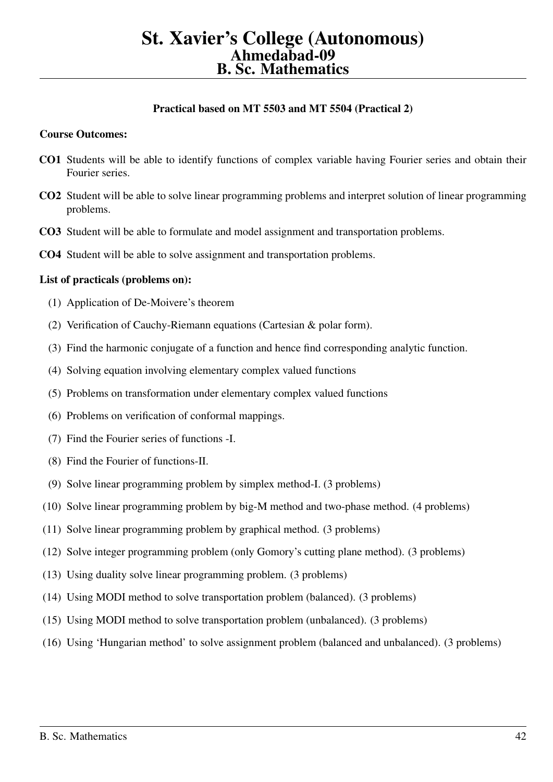# Practical based on MT 5503 and MT 5504 (Practical 2)

#### Course Outcomes:

- CO1 Students will be able to identify functions of complex variable having Fourier series and obtain their Fourier series.
- CO2 Student will be able to solve linear programming problems and interpret solution of linear programming problems.
- CO3 Student will be able to formulate and model assignment and transportation problems.
- CO4 Student will be able to solve assignment and transportation problems.

#### List of practicals (problems on):

- (1) Application of De-Moivere's theorem
- (2) Verification of Cauchy-Riemann equations (Cartesian & polar form).
- (3) Find the harmonic conjugate of a function and hence find corresponding analytic function.
- (4) Solving equation involving elementary complex valued functions
- (5) Problems on transformation under elementary complex valued functions
- (6) Problems on verification of conformal mappings.
- (7) Find the Fourier series of functions -I.
- (8) Find the Fourier of functions-II.
- (9) Solve linear programming problem by simplex method-I. (3 problems)
- (10) Solve linear programming problem by big-M method and two-phase method. (4 problems)
- (11) Solve linear programming problem by graphical method. (3 problems)
- (12) Solve integer programming problem (only Gomory's cutting plane method). (3 problems)
- (13) Using duality solve linear programming problem. (3 problems)
- (14) Using MODI method to solve transportation problem (balanced). (3 problems)
- (15) Using MODI method to solve transportation problem (unbalanced). (3 problems)
- (16) Using 'Hungarian method' to solve assignment problem (balanced and unbalanced). (3 problems)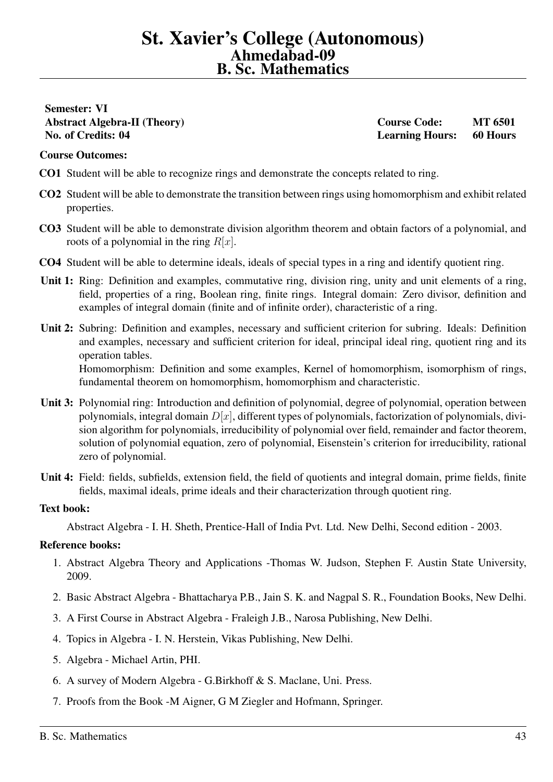# <span id="page-42-0"></span>Semester: VI Abstract Algebra-II (Theory) Course Code: MT 6501 No. of Credits: 04 Learning Hours: 60 Hours

## Course Outcomes:

- CO1 Student will be able to recognize rings and demonstrate the concepts related to ring.
- CO2 Student will be able to demonstrate the transition between rings using homomorphism and exhibit related properties.
- CO3 Student will be able to demonstrate division algorithm theorem and obtain factors of a polynomial, and roots of a polynomial in the ring  $R[x]$ .
- CO4 Student will be able to determine ideals, ideals of special types in a ring and identify quotient ring.
- Unit 1: Ring: Definition and examples, commutative ring, division ring, unity and unit elements of a ring, field, properties of a ring, Boolean ring, finite rings. Integral domain: Zero divisor, definition and examples of integral domain (finite and of infinite order), characteristic of a ring.
- Unit 2: Subring: Definition and examples, necessary and sufficient criterion for subring. Ideals: Definition and examples, necessary and sufficient criterion for ideal, principal ideal ring, quotient ring and its operation tables. Homomorphism: Definition and some examples, Kernel of homomorphism, isomorphism of rings, fundamental theorem on homomorphism, homomorphism and characteristic.
- Unit 3: Polynomial ring: Introduction and definition of polynomial, degree of polynomial, operation between polynomials, integral domain  $D[x]$ , different types of polynomials, factorization of polynomials, division algorithm for polynomials, irreducibility of polynomial over field, remainder and factor theorem, solution of polynomial equation, zero of polynomial, Eisenstein's criterion for irreducibility, rational zero of polynomial.
- Unit 4: Field: fields, subfields, extension field, the field of quotients and integral domain, prime fields, finite fields, maximal ideals, prime ideals and their characterization through quotient ring.

#### Text book:

Abstract Algebra - I. H. Sheth, Prentice-Hall of India Pvt. Ltd. New Delhi, Second edition - 2003.

- 1. Abstract Algebra Theory and Applications -Thomas W. Judson, Stephen F. Austin State University, 2009.
- 2. Basic Abstract Algebra Bhattacharya P.B., Jain S. K. and Nagpal S. R., Foundation Books, New Delhi.
- 3. A First Course in Abstract Algebra Fraleigh J.B., Narosa Publishing, New Delhi.
- 4. Topics in Algebra I. N. Herstein, Vikas Publishing, New Delhi.
- 5. Algebra Michael Artin, PHI.
- 6. A survey of Modern Algebra G.Birkhoff & S. Maclane, Uni. Press.
- 7. Proofs from the Book -M Aigner, G M Ziegler and Hofmann, Springer.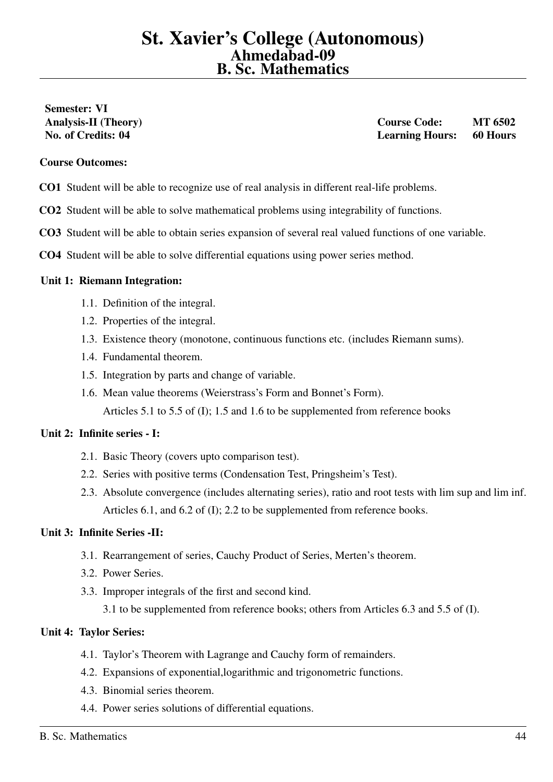# <span id="page-43-0"></span>Semester: VI

Analysis-II (Theory) and the course Course Code: MT 6502 No. of Credits: 04 Learning Hours: 60 Hours

#### Course Outcomes:

- CO1 Student will be able to recognize use of real analysis in different real-life problems.
- CO2 Student will be able to solve mathematical problems using integrability of functions.
- CO3 Student will be able to obtain series expansion of several real valued functions of one variable.
- CO4 Student will be able to solve differential equations using power series method.

#### Unit 1: Riemann Integration:

- 1.1. Definition of the integral.
- 1.2. Properties of the integral.
- 1.3. Existence theory (monotone, continuous functions etc. (includes Riemann sums).
- 1.4. Fundamental theorem.
- 1.5. Integration by parts and change of variable.
- 1.6. Mean value theorems (Weierstrass's Form and Bonnet's Form). Articles 5.1 to 5.5 of (I); 1.5 and 1.6 to be supplemented from reference books

# Unit 2: Infinite series - I:

- 2.1. Basic Theory (covers upto comparison test).
- 2.2. Series with positive terms (Condensation Test, Pringsheim's Test).
- 2.3. Absolute convergence (includes alternating series), ratio and root tests with lim sup and lim inf. Articles 6.1, and 6.2 of (I); 2.2 to be supplemented from reference books.

# Unit 3: Infinite Series -II:

- 3.1. Rearrangement of series, Cauchy Product of Series, Merten's theorem.
- 3.2. Power Series.
- 3.3. Improper integrals of the first and second kind.
	- 3.1 to be supplemented from reference books; others from Articles 6.3 and 5.5 of (I).

# Unit 4: Taylor Series:

- 4.1. Taylor's Theorem with Lagrange and Cauchy form of remainders.
- 4.2. Expansions of exponential,logarithmic and trigonometric functions.
- 4.3. Binomial series theorem.
- 4.4. Power series solutions of differential equations.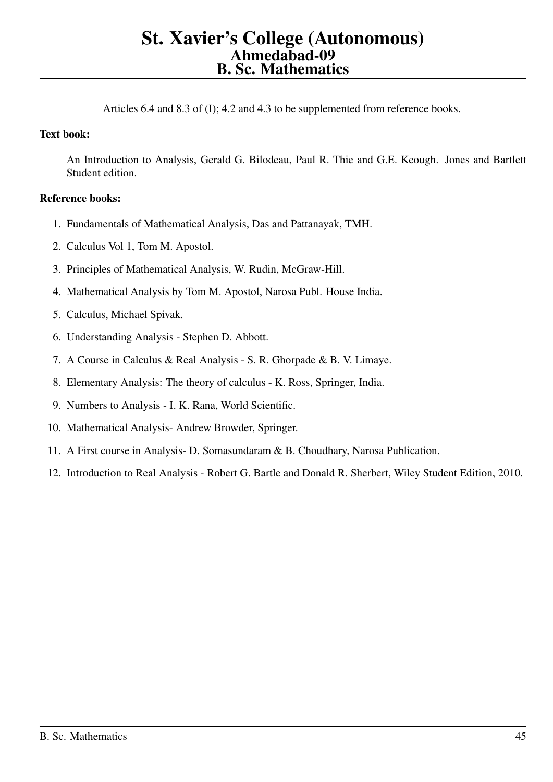Articles 6.4 and 8.3 of (I); 4.2 and 4.3 to be supplemented from reference books.

# Text book:

An Introduction to Analysis, Gerald G. Bilodeau, Paul R. Thie and G.E. Keough. Jones and Bartlett Student edition.

- 1. Fundamentals of Mathematical Analysis, Das and Pattanayak, TMH.
- 2. Calculus Vol 1, Tom M. Apostol.
- 3. Principles of Mathematical Analysis, W. Rudin, McGraw-Hill.
- 4. Mathematical Analysis by Tom M. Apostol, Narosa Publ. House India.
- 5. Calculus, Michael Spivak.
- 6. Understanding Analysis Stephen D. Abbott.
- 7. A Course in Calculus & Real Analysis S. R. Ghorpade & B. V. Limaye.
- 8. Elementary Analysis: The theory of calculus K. Ross, Springer, India.
- 9. Numbers to Analysis I. K. Rana, World Scientific.
- 10. Mathematical Analysis- Andrew Browder, Springer.
- 11. A First course in Analysis- D. Somasundaram & B. Choudhary, Narosa Publication.
- 12. Introduction to Real Analysis Robert G. Bartle and Donald R. Sherbert, Wiley Student Edition, 2010.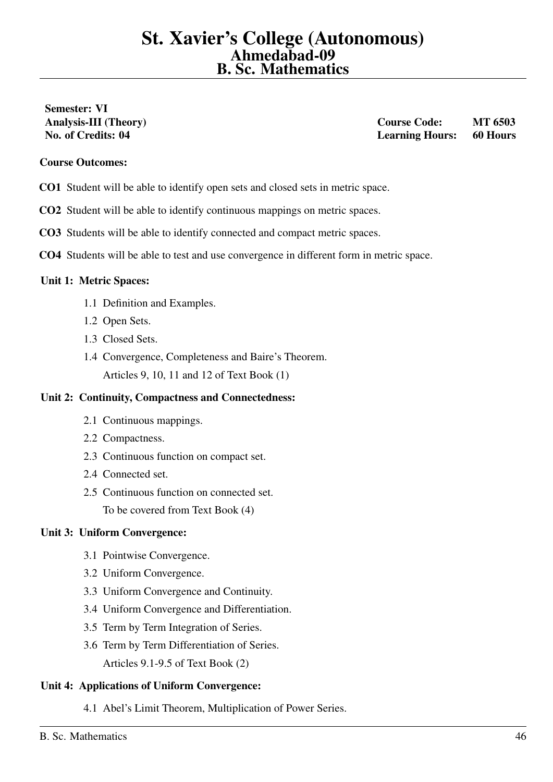# <span id="page-45-0"></span>Semester: VI

Analysis-III (Theory) and the contract of the Course Code: MT 6503 No. of Credits: 04 Learning Hours: 60 Hours

#### Course Outcomes:

- CO1 Student will be able to identify open sets and closed sets in metric space.
- CO2 Student will be able to identify continuous mappings on metric spaces.
- CO3 Students will be able to identify connected and compact metric spaces.
- CO4 Students will be able to test and use convergence in different form in metric space.

#### Unit 1: Metric Spaces:

- 1.1 Definition and Examples.
- 1.2 Open Sets.
- 1.3 Closed Sets.
- 1.4 Convergence, Completeness and Baire's Theorem. Articles 9, 10, 11 and 12 of Text Book (1)

#### Unit 2: Continuity, Compactness and Connectedness:

- 2.1 Continuous mappings.
- 2.2 Compactness.
- 2.3 Continuous function on compact set.
- 2.4 Connected set.
- 2.5 Continuous function on connected set.

To be covered from Text Book (4)

#### Unit 3: Uniform Convergence:

- 3.1 Pointwise Convergence.
- 3.2 Uniform Convergence.
- 3.3 Uniform Convergence and Continuity.
- 3.4 Uniform Convergence and Differentiation.
- 3.5 Term by Term Integration of Series.
- 3.6 Term by Term Differentiation of Series. Articles 9.1-9.5 of Text Book (2)

#### Unit 4: Applications of Uniform Convergence:

4.1 Abel's Limit Theorem, Multiplication of Power Series.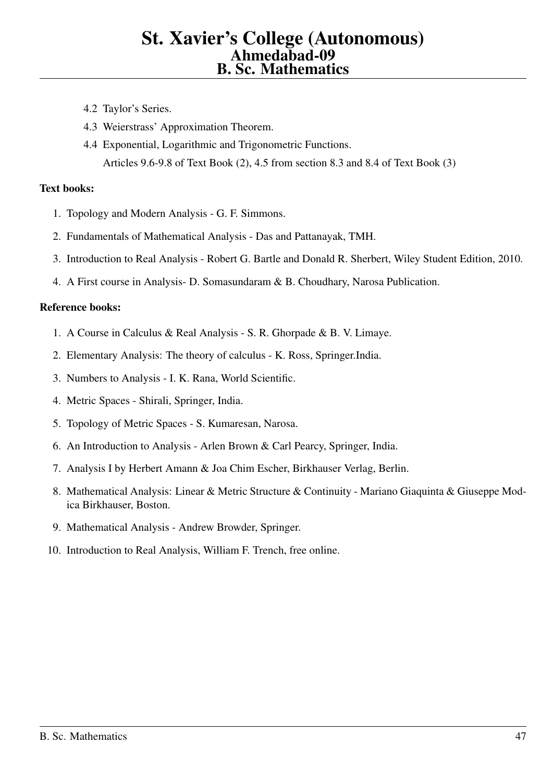- 4.2 Taylor's Series.
- 4.3 Weierstrass' Approximation Theorem.
- 4.4 Exponential, Logarithmic and Trigonometric Functions. Articles 9.6-9.8 of Text Book (2), 4.5 from section 8.3 and 8.4 of Text Book (3)

#### Text books:

- 1. Topology and Modern Analysis G. F. Simmons.
- 2. Fundamentals of Mathematical Analysis Das and Pattanayak, TMH.
- 3. Introduction to Real Analysis Robert G. Bartle and Donald R. Sherbert, Wiley Student Edition, 2010.
- 4. A First course in Analysis- D. Somasundaram & B. Choudhary, Narosa Publication.

- 1. A Course in Calculus & Real Analysis S. R. Ghorpade & B. V. Limaye.
- 2. Elementary Analysis: The theory of calculus K. Ross, Springer.India.
- 3. Numbers to Analysis I. K. Rana, World Scientific.
- 4. Metric Spaces Shirali, Springer, India.
- 5. Topology of Metric Spaces S. Kumaresan, Narosa.
- 6. An Introduction to Analysis Arlen Brown & Carl Pearcy, Springer, India.
- 7. Analysis I by Herbert Amann & Joa Chim Escher, Birkhauser Verlag, Berlin.
- 8. Mathematical Analysis: Linear & Metric Structure & Continuity Mariano Giaquinta & Giuseppe Modica Birkhauser, Boston.
- 9. Mathematical Analysis Andrew Browder, Springer.
- 10. Introduction to Real Analysis, William F. Trench, free online.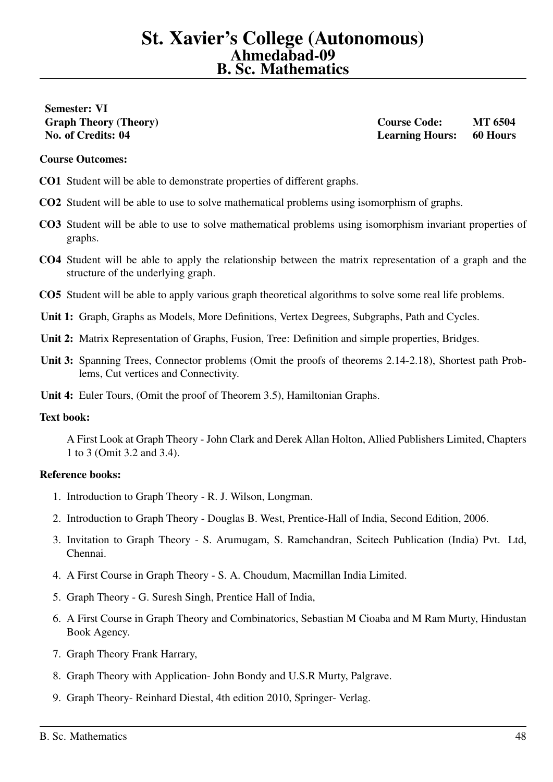# <span id="page-47-0"></span>Semester: VI

Graph Theory (Theory) Course Code: MT 6504 No. of Credits: 04 Learning Hours: 60 Hours

#### Course Outcomes:

- CO1 Student will be able to demonstrate properties of different graphs.
- CO2 Student will be able to use to solve mathematical problems using isomorphism of graphs.
- CO3 Student will be able to use to solve mathematical problems using isomorphism invariant properties of graphs.
- CO4 Student will be able to apply the relationship between the matrix representation of a graph and the structure of the underlying graph.
- CO5 Student will be able to apply various graph theoretical algorithms to solve some real life problems.
- Unit 1: Graph, Graphs as Models, More Definitions, Vertex Degrees, Subgraphs, Path and Cycles.
- Unit 2: Matrix Representation of Graphs, Fusion, Tree: Definition and simple properties, Bridges.
- Unit 3: Spanning Trees, Connector problems (Omit the proofs of theorems 2.14-2.18), Shortest path Problems, Cut vertices and Connectivity.
- Unit 4: Euler Tours, (Omit the proof of Theorem 3.5), Hamiltonian Graphs.

# Text book:

A First Look at Graph Theory - John Clark and Derek Allan Holton, Allied Publishers Limited, Chapters 1 to 3 (Omit 3.2 and 3.4).

- 1. Introduction to Graph Theory R. J. Wilson, Longman.
- 2. Introduction to Graph Theory Douglas B. West, Prentice-Hall of India, Second Edition, 2006.
- 3. Invitation to Graph Theory S. Arumugam, S. Ramchandran, Scitech Publication (India) Pvt. Ltd, Chennai.
- 4. A First Course in Graph Theory S. A. Choudum, Macmillan India Limited.
- 5. Graph Theory G. Suresh Singh, Prentice Hall of India,
- 6. A First Course in Graph Theory and Combinatorics, Sebastian M Cioaba and M Ram Murty, Hindustan Book Agency.
- 7. Graph Theory Frank Harrary,
- 8. Graph Theory with Application- John Bondy and U.S.R Murty, Palgrave.
- 9. Graph Theory- Reinhard Diestal, 4th edition 2010, Springer- Verlag.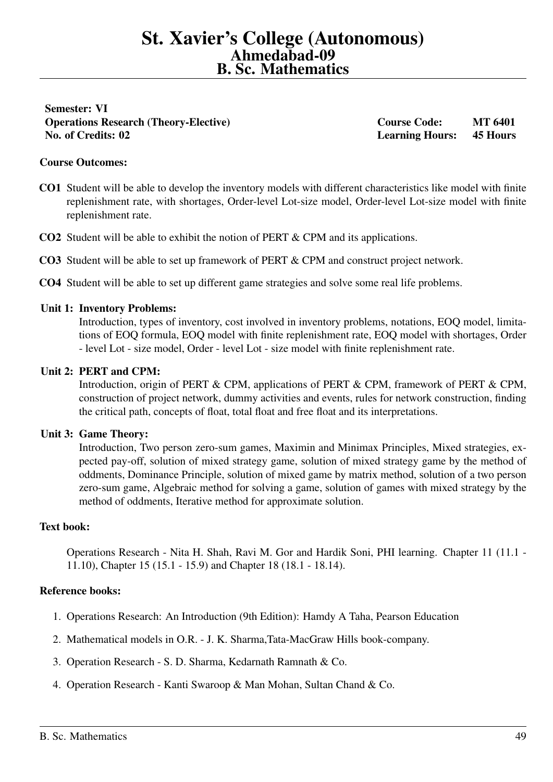<span id="page-48-0"></span>Semester: VI Operations Research (Theory-Elective) Course Code: MT 6401 No. of Credits: 02 Learning Hours: 45 Hours

#### Course Outcomes:

- CO1 Student will be able to develop the inventory models with different characteristics like model with finite replenishment rate, with shortages, Order-level Lot-size model, Order-level Lot-size model with finite replenishment rate.
- CO2 Student will be able to exhibit the notion of PERT & CPM and its applications.
- CO3 Student will be able to set up framework of PERT & CPM and construct project network.
- CO4 Student will be able to set up different game strategies and solve some real life problems.

#### Unit 1: Inventory Problems:

Introduction, types of inventory, cost involved in inventory problems, notations, EOQ model, limitations of EOQ formula, EOQ model with finite replenishment rate, EOQ model with shortages, Order - level Lot - size model, Order - level Lot - size model with finite replenishment rate.

#### Unit 2: PERT and CPM:

Introduction, origin of PERT & CPM, applications of PERT & CPM, framework of PERT & CPM, construction of project network, dummy activities and events, rules for network construction, finding the critical path, concepts of float, total float and free float and its interpretations.

#### Unit 3: Game Theory:

Introduction, Two person zero-sum games, Maximin and Minimax Principles, Mixed strategies, expected pay-off, solution of mixed strategy game, solution of mixed strategy game by the method of oddments, Dominance Principle, solution of mixed game by matrix method, solution of a two person zero-sum game, Algebraic method for solving a game, solution of games with mixed strategy by the method of oddments, Iterative method for approximate solution.

#### Text book:

Operations Research - Nita H. Shah, Ravi M. Gor and Hardik Soni, PHI learning. Chapter 11 (11.1 - 11.10), Chapter 15 (15.1 - 15.9) and Chapter 18 (18.1 - 18.14).

- 1. Operations Research: An Introduction (9th Edition): Hamdy A Taha, Pearson Education
- 2. Mathematical models in O.R. J. K. Sharma,Tata-MacGraw Hills book-company.
- 3. Operation Research S. D. Sharma, Kedarnath Ramnath & Co.
- 4. Operation Research Kanti Swaroop & Man Mohan, Sultan Chand & Co.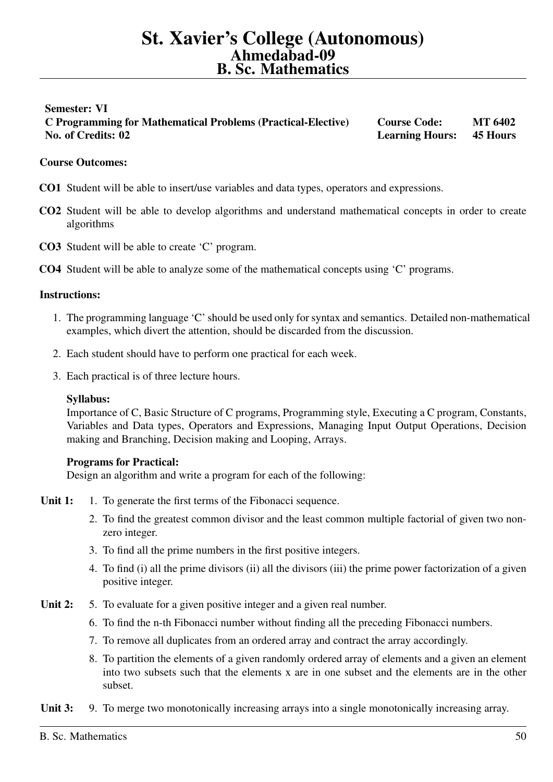# <span id="page-49-0"></span>Semester: VI C Programming for Mathematical Problems (Practical-Elective) Course Code: MT 6402 No. of Credits: 02 Learning Hours: 45 Hours

# Course Outcomes:

- CO1 Student will be able to insert/use variables and data types, operators and expressions.
- CO2 Student will be able to develop algorithms and understand mathematical concepts in order to create algorithms
- CO3 Student will be able to create 'C' program.
- CO4 Student will be able to analyze some of the mathematical concepts using 'C' programs.

#### Instructions:

- 1. The programming language 'C' should be used only for syntax and semantics. Detailed non-mathematical examples, which divert the attention, should be discarded from the discussion.
- 2. Each student should have to perform one practical for each week.
- 3. Each practical is of three lecture hours.

# Syllabus:

Importance of C, Basic Structure of C programs, Programming style, Executing a C program, Constants, Variables and Data types, Operators and Expressions, Managing Input Output Operations, Decision making and Branching, Decision making and Looping, Arrays.

# Programs for Practical:

Design an algorithm and write a program for each of the following:

- Unit 1: 1. To generate the first terms of the Fibonacci sequence.
	- 2. To find the greatest common divisor and the least common multiple factorial of given two nonzero integer.
	- 3. To find all the prime numbers in the first positive integers.
	- 4. To find (i) all the prime divisors (ii) all the divisors (iii) the prime power factorization of a given positive integer.
- Unit 2: 5. To evaluate for a given positive integer and a given real number.
	- 6. To find the n-th Fibonacci number without finding all the preceding Fibonacci numbers.
	- 7. To remove all duplicates from an ordered array and contract the array accordingly.
	- 8. To partition the elements of a given randomly ordered array of elements and a given an element into two subsets such that the elements x are in one subset and the elements are in the other subset.

Unit 3: 9. To merge two monotonically increasing arrays into a single monotonically increasing array.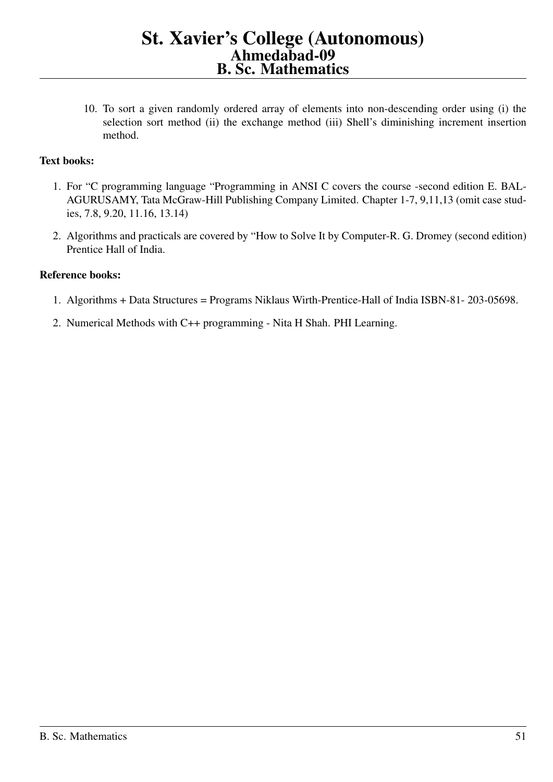10. To sort a given randomly ordered array of elements into non-descending order using (i) the selection sort method (ii) the exchange method (iii) Shell's diminishing increment insertion method.

# Text books:

- 1. For "C programming language "Programming in ANSI C covers the course -second edition E. BAL-AGURUSAMY, Tata McGraw-Hill Publishing Company Limited. Chapter 1-7, 9,11,13 (omit case studies, 7.8, 9.20, 11.16, 13.14)
- 2. Algorithms and practicals are covered by "How to Solve It by Computer-R. G. Dromey (second edition) Prentice Hall of India.

- 1. Algorithms + Data Structures = Programs Niklaus Wirth-Prentice-Hall of India ISBN-81- 203-05698.
- 2. Numerical Methods with C++ programming Nita H Shah. PHI Learning.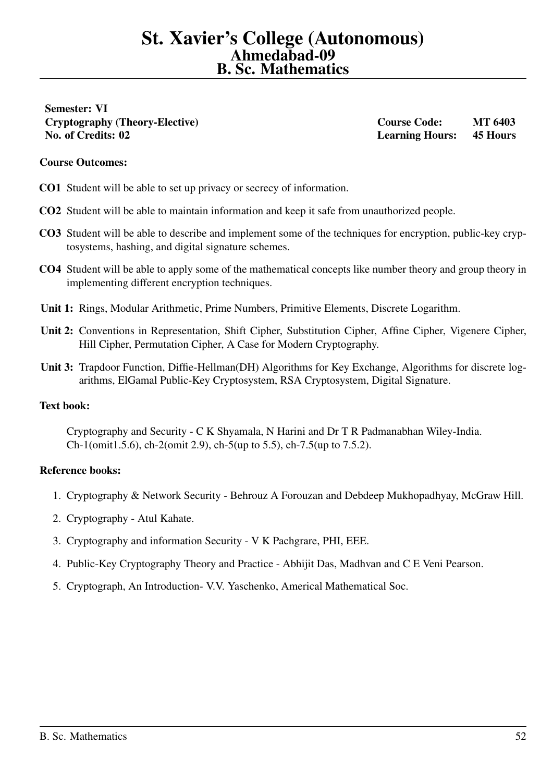<span id="page-51-0"></span>Semester: VI Cryptography (Theory-Elective) Course Code: MT 6403 No. of Credits: 02 Learning Hours: 45 Hours

## Course Outcomes:

- CO1 Student will be able to set up privacy or secrecy of information.
- CO2 Student will be able to maintain information and keep it safe from unauthorized people.
- CO3 Student will be able to describe and implement some of the techniques for encryption, public-key cryptosystems, hashing, and digital signature schemes.
- CO4 Student will be able to apply some of the mathematical concepts like number theory and group theory in implementing different encryption techniques.
- Unit 1: Rings, Modular Arithmetic, Prime Numbers, Primitive Elements, Discrete Logarithm.
- Unit 2: Conventions in Representation, Shift Cipher, Substitution Cipher, Affine Cipher, Vigenere Cipher, Hill Cipher, Permutation Cipher, A Case for Modern Cryptography.
- Unit 3: Trapdoor Function, Diffie-Hellman(DH) Algorithms for Key Exchange, Algorithms for discrete logarithms, ElGamal Public-Key Cryptosystem, RSA Cryptosystem, Digital Signature.

#### Text book:

Cryptography and Security - C K Shyamala, N Harini and Dr T R Padmanabhan Wiley-India. Ch-1(omit1.5.6), ch-2(omit 2.9), ch-5(up to 5.5), ch-7.5(up to 7.5.2).

- 1. Cryptography & Network Security Behrouz A Forouzan and Debdeep Mukhopadhyay, McGraw Hill.
- 2. Cryptography Atul Kahate.
- 3. Cryptography and information Security V K Pachgrare, PHI, EEE.
- 4. Public-Key Cryptography Theory and Practice Abhijit Das, Madhvan and C E Veni Pearson.
- 5. Cryptograph, An Introduction- V.V. Yaschenko, Americal Mathematical Soc.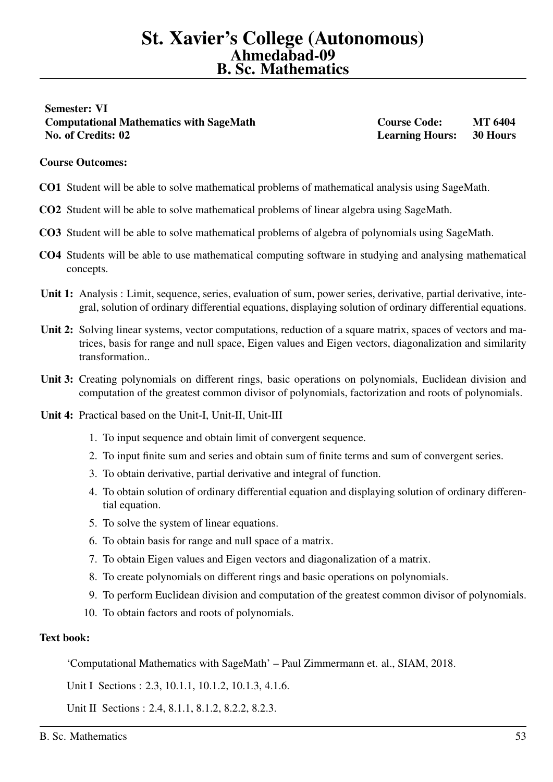# <span id="page-52-0"></span>Semester: VI Computational Mathematics with SageMath Course Course Code: MT 6404 No. of Credits: 02 Learning Hours: 30 Hours

## Course Outcomes:

- CO1 Student will be able to solve mathematical problems of mathematical analysis using SageMath.
- CO2 Student will be able to solve mathematical problems of linear algebra using SageMath.
- CO3 Student will be able to solve mathematical problems of algebra of polynomials using SageMath.
- CO4 Students will be able to use mathematical computing software in studying and analysing mathematical concepts.
- Unit 1: Analysis : Limit, sequence, series, evaluation of sum, power series, derivative, partial derivative, integral, solution of ordinary differential equations, displaying solution of ordinary differential equations.
- Unit 2: Solving linear systems, vector computations, reduction of a square matrix, spaces of vectors and matrices, basis for range and null space, Eigen values and Eigen vectors, diagonalization and similarity transformation..
- Unit 3: Creating polynomials on different rings, basic operations on polynomials, Euclidean division and computation of the greatest common divisor of polynomials, factorization and roots of polynomials.
- Unit 4: Practical based on the Unit-I, Unit-II, Unit-III
	- 1. To input sequence and obtain limit of convergent sequence.
	- 2. To input finite sum and series and obtain sum of finite terms and sum of convergent series.
	- 3. To obtain derivative, partial derivative and integral of function.
	- 4. To obtain solution of ordinary differential equation and displaying solution of ordinary differential equation.
	- 5. To solve the system of linear equations.
	- 6. To obtain basis for range and null space of a matrix.
	- 7. To obtain Eigen values and Eigen vectors and diagonalization of a matrix.
	- 8. To create polynomials on different rings and basic operations on polynomials.
	- 9. To perform Euclidean division and computation of the greatest common divisor of polynomials.
	- 10. To obtain factors and roots of polynomials.

#### Text book:

'Computational Mathematics with SageMath' – Paul Zimmermann et. al., SIAM, 2018.

Unit I Sections : 2.3, 10.1.1, 10.1.2, 10.1.3, 4.1.6.

Unit II Sections : 2.4, 8.1.1, 8.1.2, 8.2.2, 8.2.3.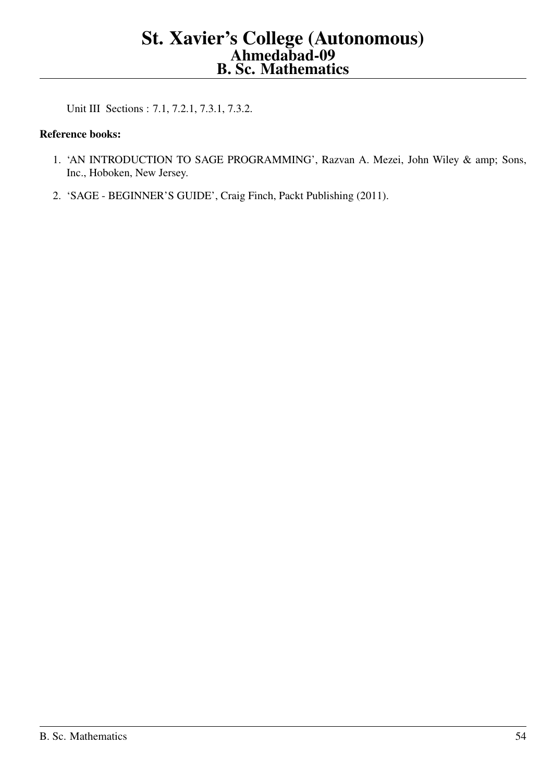Unit III Sections : 7.1, 7.2.1, 7.3.1, 7.3.2.

- 1. 'AN INTRODUCTION TO SAGE PROGRAMMING', Razvan A. Mezei, John Wiley & amp; Sons, Inc., Hoboken, New Jersey.
- 2. 'SAGE BEGINNER'S GUIDE', Craig Finch, Packt Publishing (2011).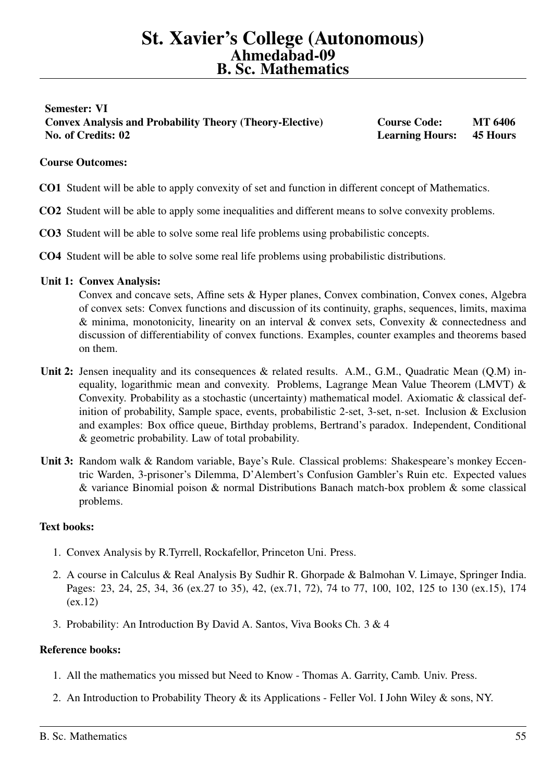# <span id="page-54-0"></span>Semester: VI Convex Analysis and Probability Theory (Theory-Elective) Course Code: MT 6406 No. of Credits: 02 Learning Hours: 45 Hours

# Course Outcomes:

- CO1 Student will be able to apply convexity of set and function in different concept of Mathematics.
- CO2 Student will be able to apply some inequalities and different means to solve convexity problems.
- CO3 Student will be able to solve some real life problems using probabilistic concepts.
- CO4 Student will be able to solve some real life problems using probabilistic distributions.

#### Unit 1: Convex Analysis:

Convex and concave sets, Affine sets & Hyper planes, Convex combination, Convex cones, Algebra of convex sets: Convex functions and discussion of its continuity, graphs, sequences, limits, maxima  $\&$  minima, monotonicity, linearity on an interval  $\&$  convex sets, Convexity  $\&$  connectedness and discussion of differentiability of convex functions. Examples, counter examples and theorems based on them.

- Unit 2: Jensen inequality and its consequences & related results. A.M., G.M., Quadratic Mean (Q.M) inequality, logarithmic mean and convexity. Problems, Lagrange Mean Value Theorem (LMVT) & Convexity. Probability as a stochastic (uncertainty) mathematical model. Axiomatic & classical definition of probability, Sample space, events, probabilistic 2-set, 3-set, n-set. Inclusion & Exclusion and examples: Box office queue, Birthday problems, Bertrand's paradox. Independent, Conditional & geometric probability. Law of total probability.
- Unit 3: Random walk & Random variable, Baye's Rule. Classical problems: Shakespeare's monkey Eccentric Warden, 3-prisoner's Dilemma, D'Alembert's Confusion Gambler's Ruin etc. Expected values & variance Binomial poison & normal Distributions Banach match-box problem & some classical problems.

# Text books:

- 1. Convex Analysis by R.Tyrrell, Rockafellor, Princeton Uni. Press.
- 2. A course in Calculus & Real Analysis By Sudhir R. Ghorpade & Balmohan V. Limaye, Springer India. Pages: 23, 24, 25, 34, 36 (ex.27 to 35), 42, (ex.71, 72), 74 to 77, 100, 102, 125 to 130 (ex.15), 174 (ex.12)
- 3. Probability: An Introduction By David A. Santos, Viva Books Ch. 3 & 4

- 1. All the mathematics you missed but Need to Know Thomas A. Garrity, Camb. Univ. Press.
- 2. An Introduction to Probability Theory & its Applications Feller Vol. I John Wiley & sons, NY.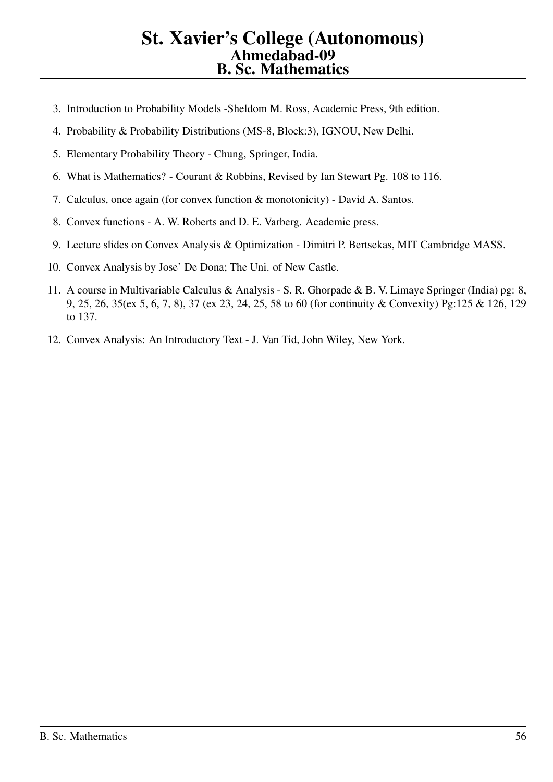- 3. Introduction to Probability Models -Sheldom M. Ross, Academic Press, 9th edition.
- 4. Probability & Probability Distributions (MS-8, Block:3), IGNOU, New Delhi.
- 5. Elementary Probability Theory Chung, Springer, India.
- 6. What is Mathematics? Courant & Robbins, Revised by Ian Stewart Pg. 108 to 116.
- 7. Calculus, once again (for convex function & monotonicity) David A. Santos.
- 8. Convex functions A. W. Roberts and D. E. Varberg. Academic press.
- 9. Lecture slides on Convex Analysis & Optimization Dimitri P. Bertsekas, MIT Cambridge MASS.
- 10. Convex Analysis by Jose' De Dona; The Uni. of New Castle.
- 11. A course in Multivariable Calculus & Analysis S. R. Ghorpade & B. V. Limaye Springer (India) pg: 8, 9, 25, 26, 35(ex 5, 6, 7, 8), 37 (ex 23, 24, 25, 58 to 60 (for continuity & Convexity) Pg:125 & 126, 129 to 137.
- 12. Convex Analysis: An Introductory Text J. Van Tid, John Wiley, New York.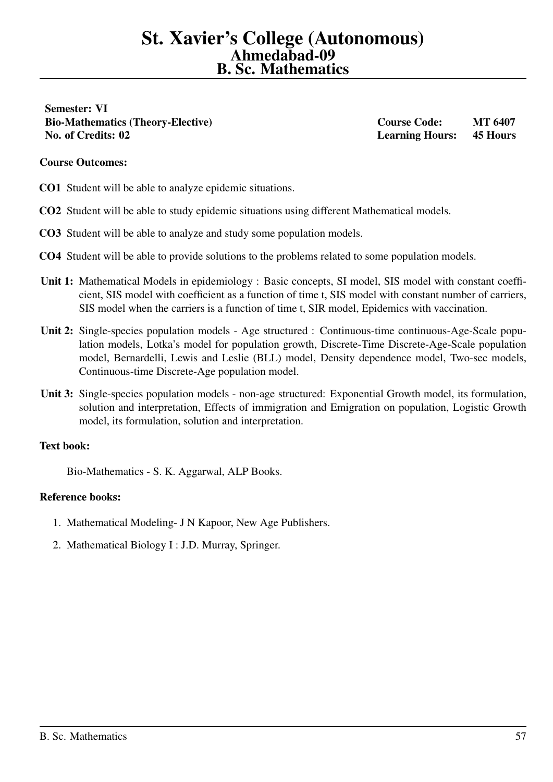<span id="page-56-0"></span>Semester: VI Bio-Mathematics (Theory-Elective) Course Code: MT 6407 No. of Credits: 02 Learning Hours: 45 Hours

#### Course Outcomes:

CO1 Student will be able to analyze epidemic situations.

- CO2 Student will be able to study epidemic situations using different Mathematical models.
- CO3 Student will be able to analyze and study some population models.
- CO4 Student will be able to provide solutions to the problems related to some population models.
- Unit 1: Mathematical Models in epidemiology : Basic concepts, SI model, SIS model with constant coefficient, SIS model with coefficient as a function of time t, SIS model with constant number of carriers, SIS model when the carriers is a function of time t, SIR model, Epidemics with vaccination.
- Unit 2: Single-species population models Age structured : Continuous-time continuous-Age-Scale population models, Lotka's model for population growth, Discrete-Time Discrete-Age-Scale population model, Bernardelli, Lewis and Leslie (BLL) model, Density dependence model, Two-sec models, Continuous-time Discrete-Age population model.
- Unit 3: Single-species population models non-age structured: Exponential Growth model, its formulation, solution and interpretation, Effects of immigration and Emigration on population, Logistic Growth model, its formulation, solution and interpretation.

# Text book:

Bio-Mathematics - S. K. Aggarwal, ALP Books.

- 1. Mathematical Modeling- J N Kapoor, New Age Publishers.
- 2. Mathematical Biology I : J.D. Murray, Springer.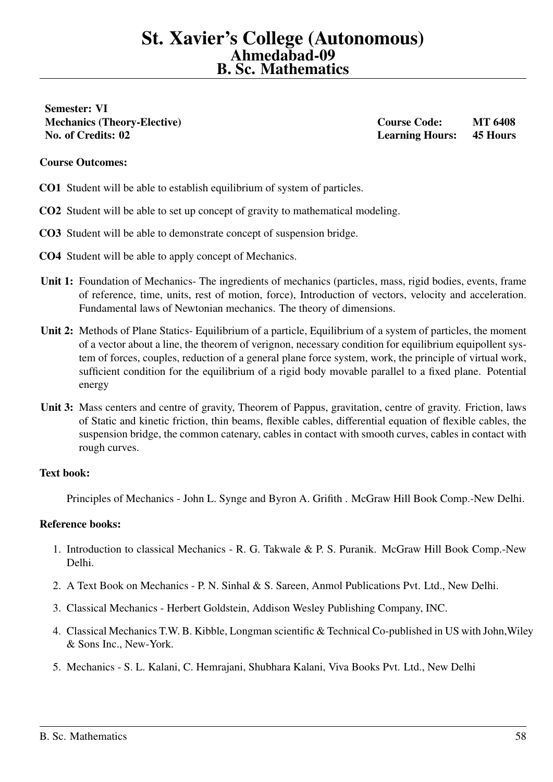<span id="page-57-0"></span>Semester: VI Mechanics (Theory-Elective) and the course Course Code: MT 6408 No. of Credits: 02 Learning Hours: 45 Hours

#### Course Outcomes:

- CO1 Student will be able to establish equilibrium of system of particles.
- CO2 Student will be able to set up concept of gravity to mathematical modeling.
- CO3 Student will be able to demonstrate concept of suspension bridge.
- CO4 Student will be able to apply concept of Mechanics.
- Unit 1: Foundation of Mechanics- The ingredients of mechanics (particles, mass, rigid bodies, events, frame of reference, time, units, rest of motion, force), Introduction of vectors, velocity and acceleration. Fundamental laws of Newtonian mechanics. The theory of dimensions.
- Unit 2: Methods of Plane Statics- Equilibrium of a particle, Equilibrium of a system of particles, the moment of a vector about a line, the theorem of verignon, necessary condition for equilibrium equipollent system of forces, couples, reduction of a general plane force system, work, the principle of virtual work, sufficient condition for the equilibrium of a rigid body movable parallel to a fixed plane. Potential energy
- Unit 3: Mass centers and centre of gravity, Theorem of Pappus, gravitation, centre of gravity. Friction, laws of Static and kinetic friction, thin beams, flexible cables, differential equation of flexible cables, the suspension bridge, the common catenary, cables in contact with smooth curves, cables in contact with rough curves.

#### Text book:

Principles of Mechanics - John L. Synge and Byron A. Grifith . McGraw Hill Book Comp.-New Delhi.

- 1. Introduction to classical Mechanics R. G. Takwale & P. S. Puranik. McGraw Hill Book Comp.-New Delhi.
- 2. A Text Book on Mechanics P. N. Sinhal & S. Sareen, Anmol Publications Pvt. Ltd., New Delhi.
- 3. Classical Mechanics Herbert Goldstein, Addison Wesley Publishing Company, INC.
- 4. Classical Mechanics T.W. B. Kibble, Longman scientific & Technical Co-published in US with John,Wiley & Sons Inc., New-York.
- 5. Mechanics S. L. Kalani, C. Hemrajani, Shubhara Kalani, Viva Books Pvt. Ltd., New Delhi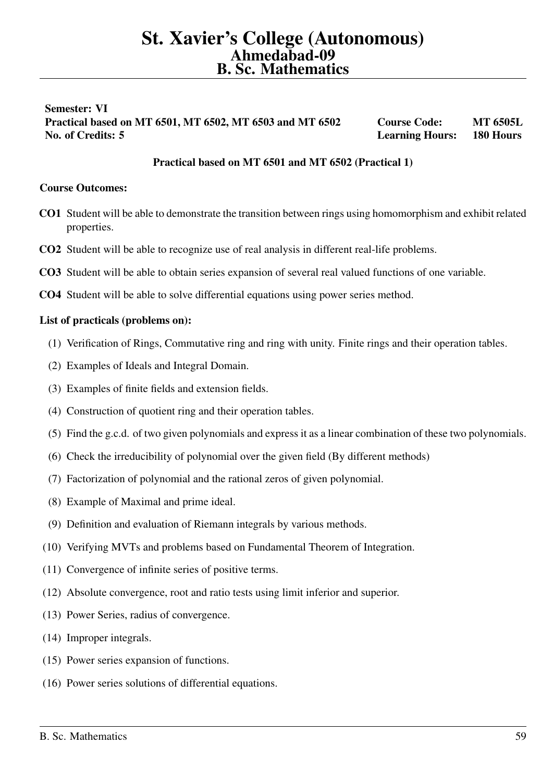# <span id="page-58-0"></span>Semester: VI Practical based on MT 6501, MT 6502, MT 6503 and MT 6502 Course Code: MT 6505L No. of Credits: 5 Learning Hours: 180 Hours

# Practical based on MT 6501 and MT 6502 (Practical 1)

## Course Outcomes:

- CO1 Student will be able to demonstrate the transition between rings using homomorphism and exhibit related properties.
- CO2 Student will be able to recognize use of real analysis in different real-life problems.
- CO3 Student will be able to obtain series expansion of several real valued functions of one variable.
- CO4 Student will be able to solve differential equations using power series method.

#### List of practicals (problems on):

- (1) Verification of Rings, Commutative ring and ring with unity. Finite rings and their operation tables.
- (2) Examples of Ideals and Integral Domain.
- (3) Examples of finite fields and extension fields.
- (4) Construction of quotient ring and their operation tables.
- (5) Find the g.c.d. of two given polynomials and express it as a linear combination of these two polynomials.
- (6) Check the irreducibility of polynomial over the given field (By different methods)
- (7) Factorization of polynomial and the rational zeros of given polynomial.
- (8) Example of Maximal and prime ideal.
- (9) Definition and evaluation of Riemann integrals by various methods.
- (10) Verifying MVTs and problems based on Fundamental Theorem of Integration.
- (11) Convergence of infinite series of positive terms.
- (12) Absolute convergence, root and ratio tests using limit inferior and superior.
- (13) Power Series, radius of convergence.
- (14) Improper integrals.
- (15) Power series expansion of functions.
- (16) Power series solutions of differential equations.